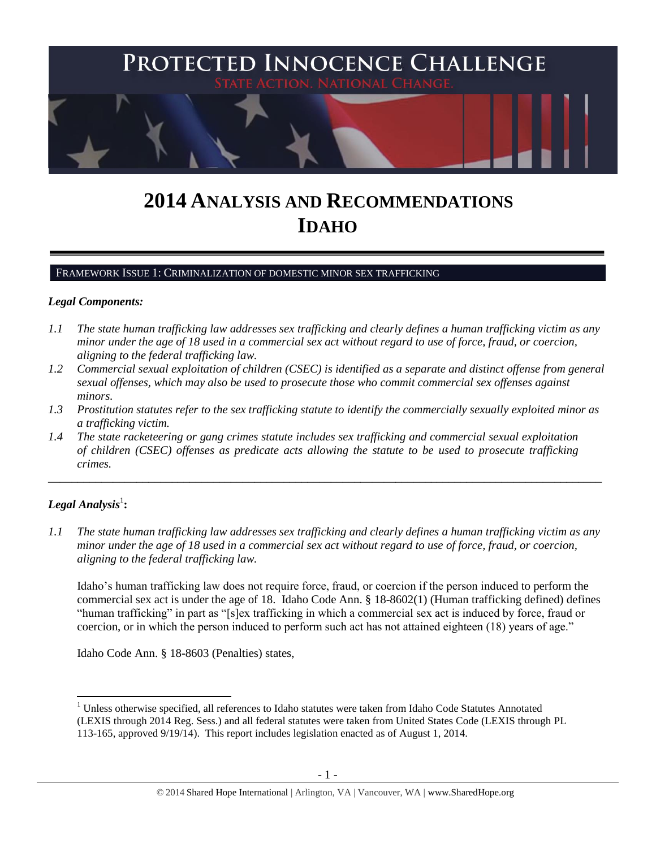

# **2014 ANALYSIS AND RECOMMENDATIONS IDAHO**

#### FRAMEWORK ISSUE 1: CRIMINALIZATION OF DOMESTIC MINOR SEX TRAFFICKING

#### *Legal Components:*

- *1.1 The state human trafficking law addresses sex trafficking and clearly defines a human trafficking victim as any minor under the age of 18 used in a commercial sex act without regard to use of force, fraud, or coercion, aligning to the federal trafficking law.*
- *1.2 Commercial sexual exploitation of children (CSEC) is identified as a separate and distinct offense from general sexual offenses, which may also be used to prosecute those who commit commercial sex offenses against minors.*
- *1.3 Prostitution statutes refer to the sex trafficking statute to identify the commercially sexually exploited minor as a trafficking victim.*

\_\_\_\_\_\_\_\_\_\_\_\_\_\_\_\_\_\_\_\_\_\_\_\_\_\_\_\_\_\_\_\_\_\_\_\_\_\_\_\_\_\_\_\_\_\_\_\_\_\_\_\_\_\_\_\_\_\_\_\_\_\_\_\_\_\_\_\_\_\_\_\_\_\_\_\_\_\_\_\_\_\_\_\_\_\_\_\_\_\_\_\_\_\_

*1.4 The state racketeering or gang crimes statute includes sex trafficking and commercial sexual exploitation of children (CSEC) offenses as predicate acts allowing the statute to be used to prosecute trafficking crimes.* 

## $\boldsymbol{Legal}$  Analysis $^1$ :

l

*1.1 The state human trafficking law addresses sex trafficking and clearly defines a human trafficking victim as any minor under the age of 18 used in a commercial sex act without regard to use of force, fraud, or coercion, aligning to the federal trafficking law.*

Idaho's human trafficking law does not require force, fraud, or coercion if the person induced to perform the commercial sex act is under the age of 18. Idaho Code Ann. § 18-8602(1) (Human trafficking defined) defines "human trafficking" in part as "[s]ex trafficking in which a commercial sex act is induced by force, fraud or coercion, or in which the person induced to perform such act has not attained eighteen (18) years of age."

Idaho Code Ann. § 18-8603 (Penalties) states,

<sup>&</sup>lt;sup>1</sup> Unless otherwise specified, all references to Idaho statutes were taken from Idaho Code Statutes Annotated (LEXIS through 2014 Reg. Sess.) and all federal statutes were taken from United States Code (LEXIS through PL 113-165, approved 9/19/14). This report includes legislation enacted as of August 1, 2014.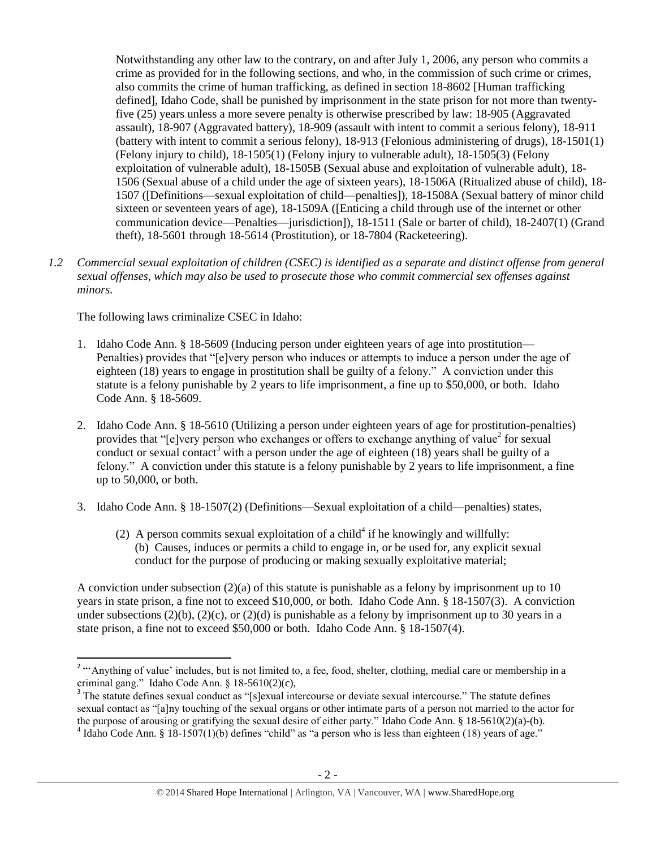Notwithstanding any other law to the contrary, on and after July 1, 2006, any person who commits a crime as provided for in the following sections, and who, in the commission of such crime or crimes, also commits the crime of human trafficking, as defined in section 18-8602 [Human trafficking defined], Idaho Code, shall be punished by imprisonment in the state prison for not more than twentyfive (25) years unless a more severe penalty is otherwise prescribed by law: 18-905 (Aggravated assault), 18-907 (Aggravated battery), 18-909 (assault with intent to commit a serious felony), 18-911 (battery with intent to commit a serious felony), 18-913 (Felonious administering of drugs), 18-1501(1) (Felony injury to child), 18-1505(1) (Felony injury to vulnerable adult), 18-1505(3) (Felony exploitation of vulnerable adult), 18-1505B (Sexual abuse and exploitation of vulnerable adult), 18- 1506 (Sexual abuse of a child under the age of sixteen years), 18-1506A (Ritualized abuse of child), 18- 1507 ([Definitions—sexual exploitation of child—penalties]), 18-1508A (Sexual battery of minor child sixteen or seventeen years of age), 18-1509A ([Enticing a child through use of the internet or other communication device—Penalties—jurisdiction]), 18-1511 (Sale or barter of child), 18-2407(1) (Grand theft), 18-5601 through 18-5614 (Prostitution), or 18-7804 (Racketeering).

*1.2 Commercial sexual exploitation of children (CSEC) is identified as a separate and distinct offense from general sexual offenses, which may also be used to prosecute those who commit commercial sex offenses against minors.*

The following laws criminalize CSEC in Idaho:

- 1. Idaho Code Ann. § 18-5609 (Inducing person under eighteen years of age into prostitution— Penalties) provides that "[e]very person who induces or attempts to induce a person under the age of eighteen (18) years to engage in prostitution shall be guilty of a felony." A conviction under this statute is a felony punishable by 2 years to life imprisonment, a fine up to \$50,000, or both. Idaho Code Ann. § 18-5609.
- 2. Idaho Code Ann. § 18-5610 (Utilizing a person under eighteen years of age for prostitution-penalties) provides that "[e]very person who exchanges or offers to exchange anything of value<sup>2</sup> for sexual conduct or sexual contact<sup>3</sup> with a person under the age of eighteen (18) years shall be guilty of a felony." A conviction under this statute is a felony punishable by 2 years to life imprisonment, a fine up to 50,000, or both.
- <span id="page-1-0"></span>3. Idaho Code Ann. § 18-1507(2) (Definitions—Sexual exploitation of a child—penalties) states,
	- (2) A person commits sexual exploitation of a child<sup>4</sup> if he knowingly and willfully: (b) Causes, induces or permits a child to engage in, or be used for, any explicit sexual conduct for the purpose of producing or making sexually exploitative material;

A conviction under subsection  $(2)(a)$  of this statute is punishable as a felony by imprisonment up to 10 years in state prison, a fine not to exceed \$10,000, or both. Idaho Code Ann. § 18-1507(3). A conviction under subsections (2)(b), (2)(c), or (2)(d) is punishable as a felony by imprisonment up to 30 years in a state prison, a fine not to exceed \$50,000 or both. Idaho Code Ann. § 18-1507(4).

<sup>&</sup>lt;sup>2</sup> "Anything of value' includes, but is not limited to, a fee, food, shelter, clothing, medial care or membership in a criminal gang." Idaho Code Ann. § 18-5610(2)(c),

<sup>&</sup>lt;sup>3</sup> The statute defines sexual conduct as "[s]exual intercourse or deviate sexual intercourse." The statute defines sexual contact as "[a]ny touching of the sexual organs or other intimate parts of a person not married to the actor for the purpose of arousing or gratifying the sexual desire of either party." Idaho Code Ann. § 18-5610(2)(a)-(b).  $4$  Idaho Code Ann. § 18-1507(1)(b) defines "child" as "a person who is less than eighteen (18) years of age."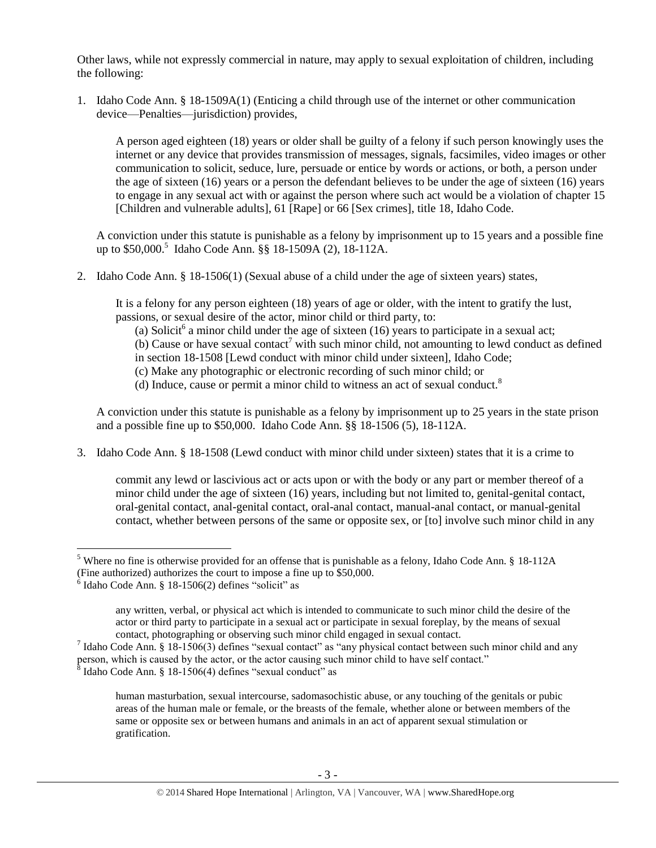Other laws, while not expressly commercial in nature, may apply to sexual exploitation of children, including the following:

1. Idaho Code Ann. § 18-1509A(1) (Enticing a child through use of the internet or other communication device—Penalties—jurisdiction) provides,

A person aged eighteen (18) years or older shall be guilty of a felony if such person knowingly uses the internet or any device that provides transmission of messages, signals, facsimiles, video images or other communication to solicit, seduce, lure, persuade or entice by words or actions, or both, a person under the age of sixteen (16) years or a person the defendant believes to be under the age of sixteen (16) years to engage in any sexual act with or against the person where such act would be a violation of chapter 15 [Children and vulnerable adults], 61 [Rape] or 66 [Sex crimes], [title 18,](http://www.legislature.idaho.gov/idstat/Title18/T18.htm) Idaho Code.

A conviction under this statute is punishable as a felony by imprisonment up to 15 years and a possible fine up to \$50,000.<sup>5</sup> Idaho Code Ann. §§ 18-1509A (2), 18-112A.

2. Idaho Code Ann. § 18-1506(1) (Sexual abuse of a child under the age of sixteen years) states,

It is a felony for any person eighteen (18) years of age or older, with the intent to gratify the lust, passions, or sexual desire of the actor, minor child or third party, to:

(a) Solicit<sup>6</sup> a minor child under the age of sixteen (16) years to participate in a sexual act;

(b) Cause or have sexual contact<sup>7</sup> with such minor child, not amounting to lewd conduct as defined in section [18-1508](http://www.legislature.idaho.gov/idstat/Title18/T18CH15SECT18-1508.htm) [Lewd conduct with minor child under sixteen], Idaho Code;

- <span id="page-2-0"></span>(c) Make any photographic or electronic recording of such minor child; or
- (d) Induce, cause or permit a minor child to witness an act of sexual conduct.<sup>8</sup>

A conviction under this statute is punishable as a felony by imprisonment up to 25 years in the state prison and a possible fine up to \$50,000. Idaho Code Ann. §§ 18-1506 (5), 18-112A.

3. Idaho Code Ann. § 18-1508 (Lewd conduct with minor child under sixteen) states that it is a crime to

commit any lewd or lascivious act or acts upon or with the body or any part or member thereof of a minor child under the age of sixteen (16) years, including but not limited to, genital-genital contact, oral-genital contact, anal-genital contact, oral-anal contact, manual-anal contact, or manual-genital contact, whether between persons of the same or opposite sex, or [to] involve such minor child in any

l

<sup>5</sup> Where no fine is otherwise provided for an offense that is punishable as a felony, Idaho Code Ann. § 18-112A (Fine authorized) authorizes the court to impose a fine up to \$50,000.

 $6$  Idaho Code Ann. § 18-1506(2) defines "solicit" as

any written, verbal, or physical act which is intended to communicate to such minor child the desire of the actor or third party to participate in a sexual act or participate in sexual foreplay, by the means of sexual contact, photographing or observing such minor child engaged in sexual contact.

<sup>&</sup>lt;sup>7</sup> Idaho Code Ann. § 18-1506(3) defines "sexual contact" as "any physical contact between such minor child and any person, which is caused by the actor, or the actor causing such minor child to have self contact."

<sup>&</sup>lt;sup>8</sup> Idaho Code Ann. § 18-1506(4) defines "sexual conduct" as

human masturbation, sexual intercourse, sadomasochistic abuse, or any touching of the genitals or pubic areas of the human male or female, or the breasts of the female, whether alone or between members of the same or opposite sex or between humans and animals in an act of apparent sexual stimulation or gratification.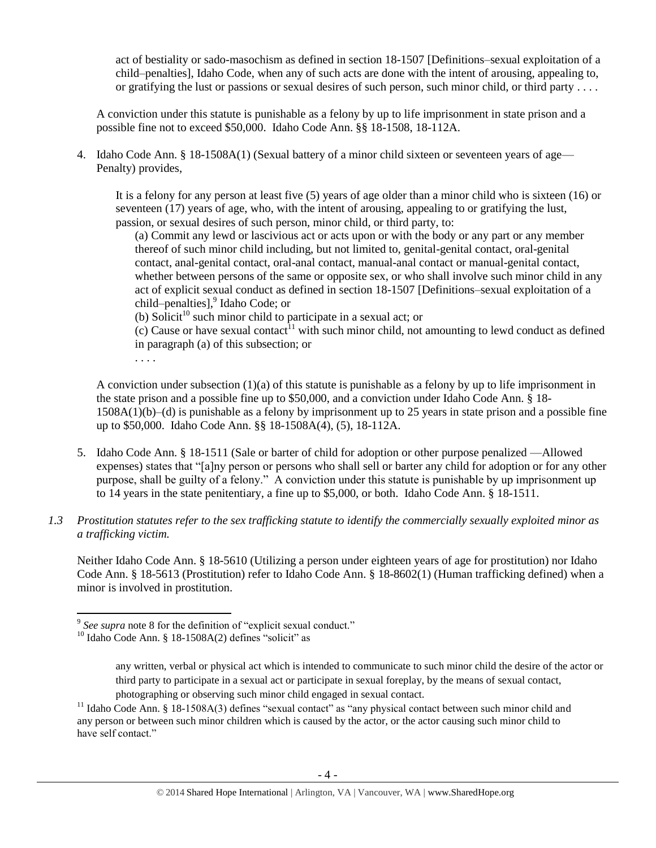act of bestiality or sado-masochism as defined in section 18-1507 [Definitions–sexual exploitation of a child–penalties], Idaho Code, when any of such acts are done with the intent of arousing, appealing to, or gratifying the lust or passions or sexual desires of such person, such minor child, or third party . . . .

A conviction under this statute is punishable as a felony by up to life imprisonment in state prison and a possible fine not to exceed \$50,000. Idaho Code Ann. §§ 18-1508, 18-112A.

4. Idaho Code Ann. § 18-1508A(1) (Sexual battery of a minor child sixteen or seventeen years of age— Penalty) provides,

It is a felony for any person at least five (5) years of age older than a minor child who is sixteen (16) or seventeen (17) years of age, who, with the intent of arousing, appealing to or gratifying the lust, passion, or sexual desires of such person, minor child, or third party, to:

(a) Commit any lewd or lascivious act or acts upon or with the body or any part or any member thereof of such minor child including, but not limited to, genital-genital contact, oral-genital contact, anal-genital contact, oral-anal contact, manual-anal contact or manual-genital contact, whether between persons of the same or opposite sex, or who shall involve such minor child in any act of explicit sexual conduct as defined in section 18-1507 [Definitions–sexual exploitation of a child–penalties],<sup>9</sup> Idaho Code; or

(b) Solicit<sup>10</sup> such minor child to participate in a sexual act; or

(c) Cause or have sexual contact<sup>11</sup> with such minor child, not amounting to lewd conduct as defined in paragraph (a) of this subsection; or

. . . .

A conviction under subsection (1)(a) of this statute is punishable as a felony by up to life imprisonment in the state prison and a possible fine up to \$50,000, and a conviction under Idaho Code Ann. § 18- 1508A(1)(b)–(d) is punishable as a felony by imprisonment up to 25 years in state prison and a possible fine up to \$50,000. Idaho Code Ann. §§ 18-1508A(4), (5), 18-112A.

- 5. Idaho Code Ann. § 18-1511 (Sale or barter of child for adoption or other purpose penalized —Allowed expenses) states that "[a]ny person or persons who shall sell or barter any child for adoption or for any other purpose, shall be guilty of a felony." A conviction under this statute is punishable by up imprisonment up to 14 years in the state penitentiary, a fine up to \$5,000, or both. Idaho Code Ann. § 18-1511.
- *1.3 Prostitution statutes refer to the sex trafficking statute to identify the commercially sexually exploited minor as a trafficking victim.*

Neither Idaho Code Ann. § 18-5610 (Utilizing a person under eighteen years of age for prostitution) nor Idaho Code Ann. § 18-5613 (Prostitution) refer to Idaho Code Ann. § 18-8602(1) (Human trafficking defined) when a minor is involved in prostitution.

<sup>&</sup>lt;sup>9</sup> See supra note [8](#page-2-0) for the definition of "explicit sexual conduct."

 $10$  Idaho Code Ann. § 18-1508A(2) defines "solicit" as

any written, verbal or physical act which is intended to communicate to such minor child the desire of the actor or third party to participate in a sexual act or participate in sexual foreplay, by the means of sexual contact, photographing or observing such minor child engaged in sexual contact.

<sup>&</sup>lt;sup>11</sup> Idaho Code Ann. § 18-1508A(3) defines "sexual contact" as "any physical contact between such minor child and any person or between such minor children which is caused by the actor, or the actor causing such minor child to have self contact."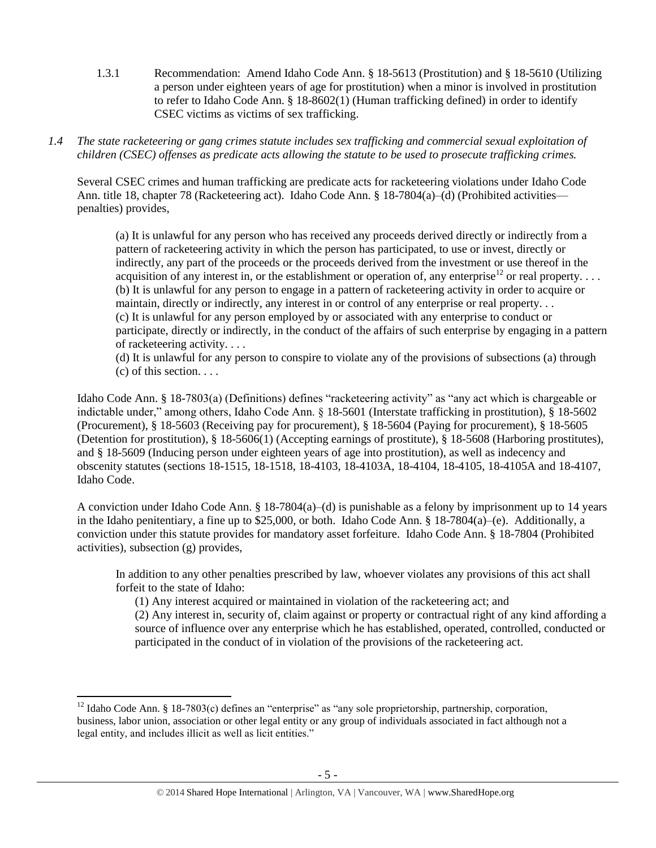- 1.3.1 Recommendation: Amend Idaho Code Ann. § 18-5613 (Prostitution) and § 18-5610 (Utilizing a person under eighteen years of age for prostitution) when a minor is involved in prostitution to refer to Idaho Code Ann. § 18-8602(1) (Human trafficking defined) in order to identify CSEC victims as victims of sex trafficking.
- *1.4 The state racketeering or gang crimes statute includes sex trafficking and commercial sexual exploitation of children (CSEC) offenses as predicate acts allowing the statute to be used to prosecute trafficking crimes.*

Several CSEC crimes and human trafficking are predicate acts for racketeering violations under Idaho Code Ann. title 18, chapter 78 (Racketeering act). Idaho Code Ann. § 18-7804(a)–(d) (Prohibited activities penalties) provides,

(a) It is unlawful for any person who has received any proceeds derived directly or indirectly from a pattern of racketeering activity in which the person has participated, to use or invest, directly or indirectly, any part of the proceeds or the proceeds derived from the investment or use thereof in the acquisition of any interest in, or the establishment or operation of, any enterprise<sup>12</sup> or real property.... (b) It is unlawful for any person to engage in a pattern of racketeering activity in order to acquire or maintain, directly or indirectly, any interest in or control of any enterprise or real property. . . (c) It is unlawful for any person employed by or associated with any enterprise to conduct or participate, directly or indirectly, in the conduct of the affairs of such enterprise by engaging in a pattern of racketeering activity. . . .

(d) It is unlawful for any person to conspire to violate any of the provisions of subsections (a) through  $(c)$  of this section.  $\ldots$ 

Idaho Code Ann. § 18-7803(a) (Definitions) defines "racketeering activity" as "any act which is chargeable or indictable under," among others, Idaho Code Ann. § 18-5601 (Interstate trafficking in prostitution), § 18-5602 (Procurement), § 18-5603 (Receiving pay for procurement), § 18-5604 (Paying for procurement), § 18-5605 (Detention for prostitution), § 18-5606(1) (Accepting earnings of prostitute), § 18-5608 (Harboring prostitutes), and § 18-5609 (Inducing person under eighteen years of age into prostitution), as well as indecency and obscenity statutes (sections 18-1515, 18-1518, 18-4103, 18-4103A, 18-4104, 18-4105, 18-4105A and 18-4107, Idaho Code.

A conviction under Idaho Code Ann. § 18-7804(a)–(d) is punishable as a felony by imprisonment up to 14 years in the Idaho penitentiary, a fine up to \$25,000, or both. Idaho Code Ann. § 18-7804(a)–(e). Additionally, a conviction under this statute provides for mandatory asset forfeiture. Idaho Code Ann. § 18-7804 (Prohibited activities), subsection (g) provides,

In addition to any other penalties prescribed by law, whoever violates any provisions of this act shall forfeit to the state of Idaho:

(1) Any interest acquired or maintained in violation of the racketeering act; and

(2) Any interest in, security of, claim against or property or contractual right of any kind affording a source of influence over any enterprise which he has established, operated, controlled, conducted or participated in the conduct of in violation of the provisions of the racketeering act.

l <sup>12</sup> Idaho Code Ann. § 18-7803 $(c)$  defines an "enterprise" as "any sole proprietorship, partnership, corporation, business, labor union, association or other legal entity or any group of individuals associated in fact although not a legal entity, and includes illicit as well as licit entities."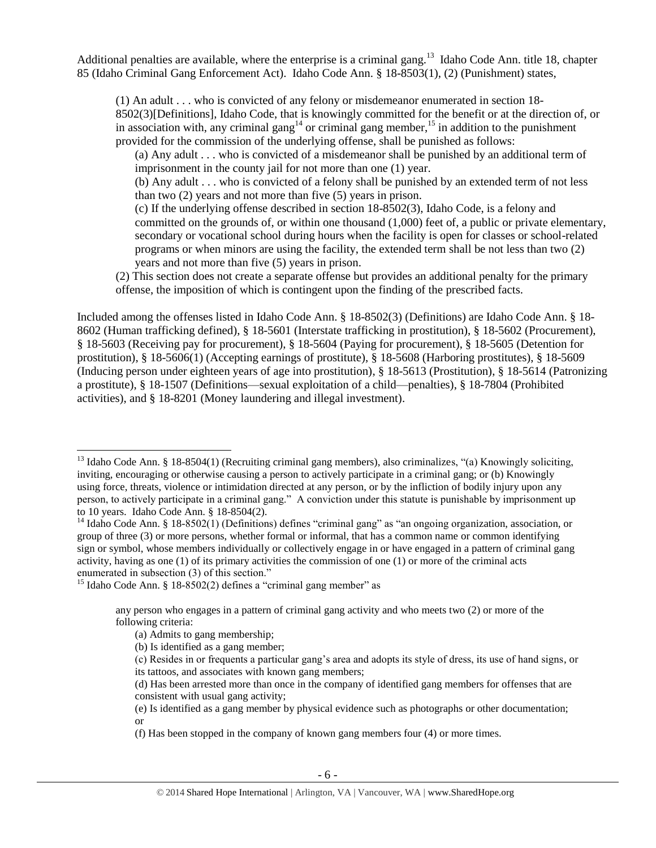Additional penalties are available, where the enterprise is a criminal gang.<sup>13</sup> Idaho Code Ann. title 18, chapter 85 (Idaho Criminal Gang Enforcement Act). Idaho Code Ann. § 18-8503(1), (2) (Punishment) states,

(1) An adult . . . who is convicted of any felony or misdemeanor enumerated in section 18- 8502(3)[Definitions], Idaho Code, that is knowingly committed for the benefit or at the direction of, or in association with, any criminal gang<sup>14</sup> or criminal gang member,<sup>15</sup> in addition to the punishment provided for the commission of the underlying offense, shall be punished as follows:

(a) Any adult . . . who is convicted of a misdemeanor shall be punished by an additional term of imprisonment in the county jail for not more than one (1) year.

(b) Any adult . . . who is convicted of a felony shall be punished by an extended term of not less than two (2) years and not more than five (5) years in prison.

(c) If the underlying offense described in section 18-8502(3), Idaho Code, is a felony and committed on the grounds of, or within one thousand (1,000) feet of, a public or private elementary, secondary or vocational school during hours when the facility is open for classes or school-related programs or when minors are using the facility, the extended term shall be not less than two (2) years and not more than five (5) years in prison.

(2) This section does not create a separate offense but provides an additional penalty for the primary offense, the imposition of which is contingent upon the finding of the prescribed facts.

Included among the offenses listed in Idaho Code Ann. § 18-8502(3) (Definitions) are Idaho Code Ann. § 18- 8602 (Human trafficking defined), § 18-5601 (Interstate trafficking in prostitution), § 18-5602 (Procurement), § 18-5603 (Receiving pay for procurement), § 18-5604 (Paying for procurement), § 18-5605 (Detention for prostitution), § 18-5606(1) (Accepting earnings of prostitute), § 18-5608 (Harboring prostitutes), § 18-5609 (Inducing person under eighteen years of age into prostitution), § 18-5613 (Prostitution), § 18-5614 (Patronizing a prostitute), § 18-1507 (Definitions—sexual exploitation of a child—penalties), § 18-7804 (Prohibited activities), and § 18-8201 (Money laundering and illegal investment).

 $\overline{a}$ 

<sup>&</sup>lt;sup>13</sup> Idaho Code Ann. § 18-8504(1) (Recruiting criminal gang members), also criminalizes, "(a) Knowingly soliciting, inviting, encouraging or otherwise causing a person to actively participate in a criminal gang; or (b) Knowingly using force, threats, violence or intimidation directed at any person, or by the infliction of bodily injury upon any person, to actively participate in a criminal gang." A conviction under this statute is punishable by imprisonment up to 10 years. Idaho Code Ann. § 18-8504(2).

<sup>&</sup>lt;sup>14</sup> Idaho Code Ann. § 18-8502(1) (Definitions) defines "criminal gang" as "an ongoing organization, association, or group of three (3) or more persons, whether formal or informal, that has a common name or common identifying sign or symbol, whose members individually or collectively engage in or have engaged in a pattern of criminal gang activity, having as one (1) of its primary activities the commission of one (1) or more of the criminal acts enumerated in subsection (3) of this section."

<sup>&</sup>lt;sup>15</sup> Idaho Code Ann. § 18-8502(2) defines a "criminal gang member" as

any person who engages in a pattern of criminal gang activity and who meets two (2) or more of the following criteria:

<sup>(</sup>a) Admits to gang membership;

<sup>(</sup>b) Is identified as a gang member;

<sup>(</sup>c) Resides in or frequents a particular gang's area and adopts its style of dress, its use of hand signs, or its tattoos, and associates with known gang members;

<sup>(</sup>d) Has been arrested more than once in the company of identified gang members for offenses that are consistent with usual gang activity;

<sup>(</sup>e) Is identified as a gang member by physical evidence such as photographs or other documentation; or

<sup>(</sup>f) Has been stopped in the company of known gang members four (4) or more times.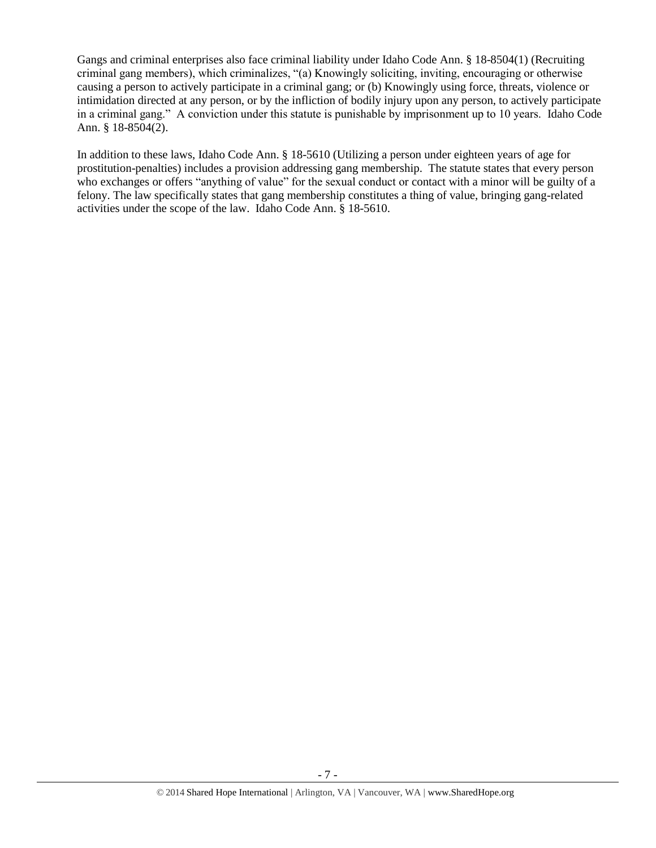Gangs and criminal enterprises also face criminal liability under Idaho Code Ann. § 18-8504(1) (Recruiting criminal gang members), which criminalizes, "(a) Knowingly soliciting, inviting, encouraging or otherwise causing a person to actively participate in a criminal gang; or (b) Knowingly using force, threats, violence or intimidation directed at any person, or by the infliction of bodily injury upon any person, to actively participate in a criminal gang." A conviction under this statute is punishable by imprisonment up to 10 years. Idaho Code Ann. § 18-8504(2).

In addition to these laws, Idaho Code Ann. § 18-5610 (Utilizing a person under eighteen years of age for prostitution-penalties) includes a provision addressing gang membership. The statute states that every person who exchanges or offers "anything of value" for the sexual conduct or contact with a minor will be guilty of a felony. The law specifically states that gang membership constitutes a thing of value, bringing gang-related activities under the scope of the law. Idaho Code Ann. § 18-5610.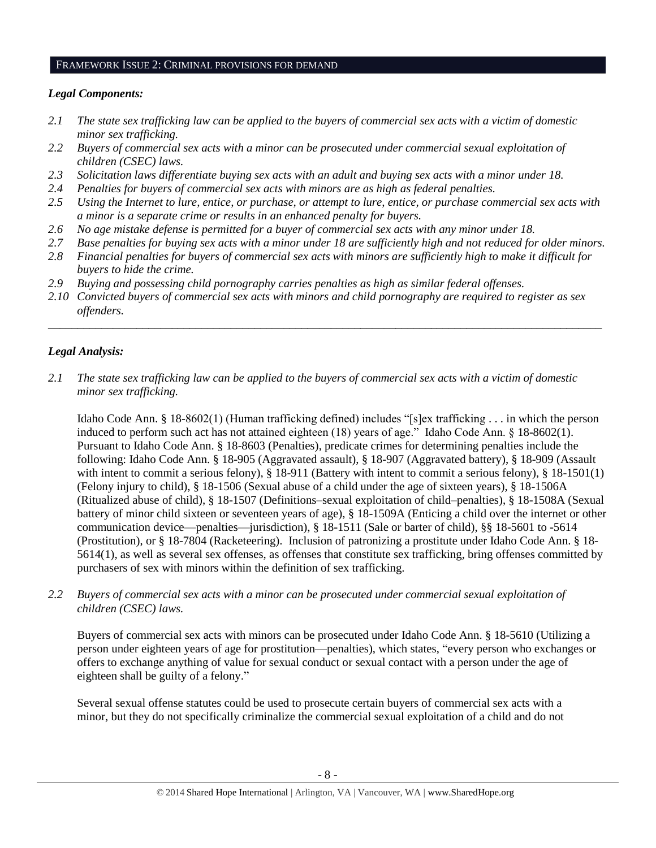#### FRAMEWORK ISSUE 2: CRIMINAL PROVISIONS FOR DEMAND

## *Legal Components:*

- *2.1 The state sex trafficking law can be applied to the buyers of commercial sex acts with a victim of domestic minor sex trafficking.*
- *2.2 Buyers of commercial sex acts with a minor can be prosecuted under commercial sexual exploitation of children (CSEC) laws.*
- *2.3 Solicitation laws differentiate buying sex acts with an adult and buying sex acts with a minor under 18.*
- *2.4 Penalties for buyers of commercial sex acts with minors are as high as federal penalties.*
- *2.5 Using the Internet to lure, entice, or purchase, or attempt to lure, entice, or purchase commercial sex acts with a minor is a separate crime or results in an enhanced penalty for buyers.*
- *2.6 No age mistake defense is permitted for a buyer of commercial sex acts with any minor under 18.*
- *2.7 Base penalties for buying sex acts with a minor under 18 are sufficiently high and not reduced for older minors.*
- *2.8 Financial penalties for buyers of commercial sex acts with minors are sufficiently high to make it difficult for buyers to hide the crime.*
- *2.9 Buying and possessing child pornography carries penalties as high as similar federal offenses.*
- *2.10 Convicted buyers of commercial sex acts with minors and child pornography are required to register as sex offenders.*

\_\_\_\_\_\_\_\_\_\_\_\_\_\_\_\_\_\_\_\_\_\_\_\_\_\_\_\_\_\_\_\_\_\_\_\_\_\_\_\_\_\_\_\_\_\_\_\_\_\_\_\_\_\_\_\_\_\_\_\_\_\_\_\_\_\_\_\_\_\_\_\_\_\_\_\_\_\_\_\_\_\_\_\_\_\_\_\_\_\_\_\_\_\_

# *Legal Analysis:*

*2.1 The state sex trafficking law can be applied to the buyers of commercial sex acts with a victim of domestic minor sex trafficking.*

Idaho Code Ann. § 18-8602(1) (Human trafficking defined) includes "[s]ex trafficking . . . in which the person induced to perform such act has not attained eighteen (18) years of age." Idaho Code Ann. § 18-8602(1). Pursuant to Idaho Code Ann. § 18-8603 (Penalties), predicate crimes for determining penalties include the following: Idaho Code Ann. § 18-905 (Aggravated assault), § 18-907 (Aggravated battery), § 18-909 (Assault with intent to commit a serious felony), § 18-911 (Battery with intent to commit a serious felony), § 18-1501(1) (Felony injury to child), § 18-1506 (Sexual abuse of a child under the age of sixteen years), § 18-1506A (Ritualized abuse of child), § 18-1507 (Definitions–sexual exploitation of child–penalties), § 18-1508A (Sexual battery of minor child sixteen or seventeen years of age), § 18-1509A (Enticing a child over the internet or other communication device—penalties—jurisdiction), § 18-1511 (Sale or barter of child), §§ 18-5601 to -5614 (Prostitution), or § 18-7804 (Racketeering). Inclusion of patronizing a prostitute under Idaho Code Ann. § 18- 5614(1), as well as several sex offenses, as offenses that constitute sex trafficking, bring offenses committed by purchasers of sex with minors within the definition of sex trafficking.

*2.2 Buyers of commercial sex acts with a minor can be prosecuted under commercial sexual exploitation of children (CSEC) laws.*

Buyers of commercial sex acts with minors can be prosecuted under Idaho Code Ann. § 18-5610 (Utilizing a person under eighteen years of age for prostitution—penalties), which states, "every person who exchanges or offers to exchange anything of value for sexual conduct or sexual contact with a person under the age of eighteen shall be guilty of a felony."

Several sexual offense statutes could be used to prosecute certain buyers of commercial sex acts with a minor, but they do not specifically criminalize the commercial sexual exploitation of a child and do not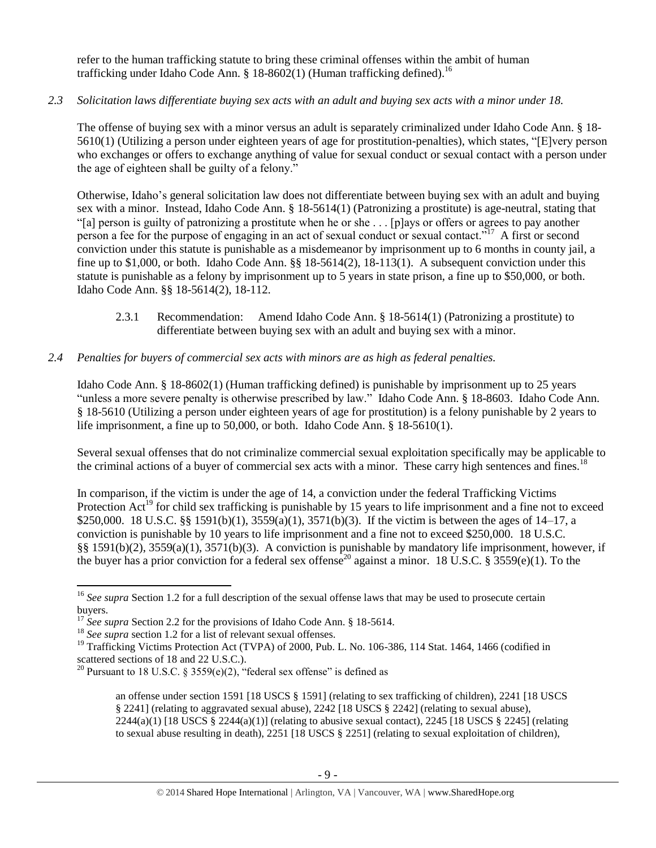refer to the human trafficking statute to bring these criminal offenses within the ambit of human trafficking under Idaho Code Ann. § 18-8602(1) (Human trafficking defined).<sup>16</sup>

*2.3 Solicitation laws differentiate buying sex acts with an adult and buying sex acts with a minor under 18.*

The offense of buying sex with a minor versus an adult is separately criminalized under Idaho Code Ann. § 18- 5610(1) (Utilizing a person under eighteen years of age for prostitution-penalties), which states, "[E]very person who exchanges or offers to exchange anything of value for sexual conduct or sexual contact with a person under the age of eighteen shall be guilty of a felony."

Otherwise, Idaho's general solicitation law does not differentiate between buying sex with an adult and buying sex with a minor. Instead, Idaho Code Ann. § 18-5614(1) (Patronizing a prostitute) is age-neutral, stating that "[a] person is guilty of patronizing a prostitute when he or she . . . [p]ays or offers or agrees to pay another person a fee for the purpose of engaging in an act of sexual conduct or sexual contact."<sup>17</sup> A first or second conviction under this statute is punishable as a misdemeanor by imprisonment up to 6 months in county jail, a fine up to \$1,000, or both. Idaho Code Ann. §§ 18-5614(2), 18-113(1). A subsequent conviction under this statute is punishable as a felony by imprisonment up to 5 years in state prison, a fine up to \$50,000, or both. Idaho Code Ann. §§ 18-5614(2), 18-112.

- 2.3.1 Recommendation: Amend Idaho Code Ann. § 18-5614(1) (Patronizing a prostitute) to differentiate between buying sex with an adult and buying sex with a minor.
- *2.4 Penalties for buyers of commercial sex acts with minors are as high as federal penalties.*

Idaho Code Ann. § 18-8602(1) (Human trafficking defined) is punishable by imprisonment up to 25 years "unless a more severe penalty is otherwise prescribed by law." Idaho Code Ann. § 18-8603. Idaho Code Ann. § 18-5610 (Utilizing a person under eighteen years of age for prostitution) is a felony punishable by 2 years to life imprisonment, a fine up to 50,000, or both. Idaho Code Ann. § 18-5610(1).

Several sexual offenses that do not criminalize commercial sexual exploitation specifically may be applicable to the criminal actions of a buyer of commercial sex acts with a minor. These carry high sentences and fines.<sup>18</sup>

<span id="page-8-0"></span>In comparison, if the victim is under the age of 14, a conviction under the federal Trafficking Victims Protection Act<sup>19</sup> for child sex trafficking is punishable by 15 years to life imprisonment and a fine not to exceed \$250,000. 18 U.S.C. §§ 1591(b)(1), 3559(a)(1), 3571(b)(3). If the victim is between the ages of 14–17, a conviction is punishable by 10 years to life imprisonment and a fine not to exceed \$250,000. 18 U.S.C. §§ 1591(b)(2), 3559(a)(1), 3571(b)(3). A conviction is punishable by mandatory life imprisonment, however, if the buyer has a prior conviction for a federal sex offense<sup>20</sup> against a minor. 18 U.S.C. § 3559(e)(1). To the

 $\overline{\phantom{a}}$ 

<sup>&</sup>lt;sup>16</sup> See supra Section 1.2 for a full description of the sexual offense laws that may be used to prosecute certain buyers.

<sup>&</sup>lt;sup>17</sup> See supra Section 2.2 for the provisions of Idaho Code Ann. § 18-5614.

<sup>&</sup>lt;sup>18</sup> See supra section 1.2 for a list of relevant sexual offenses.

<sup>&</sup>lt;sup>19</sup> Trafficking Victims Protection Act (TVPA) of 2000, Pub. L. No. 106-386, 114 Stat. 1464, 1466 (codified in scattered sections of 18 and 22 U.S.C.).

<sup>&</sup>lt;sup>20</sup> Pursuant to 18 U.S.C. § 3559(e)(2), "federal sex offense" is defined as

<span id="page-8-1"></span>an offense under section 1591 [18 USCS § 1591] (relating to sex trafficking of children), 2241 [18 USCS § 2241] (relating to aggravated sexual abuse), 2242 [18 USCS § 2242] (relating to sexual abuse),  $2244(a)(1)$  [18 USCS §  $2244(a)(1)$ ] (relating to abusive sexual contact),  $2245$  [18 USCS § 2245] (relating to sexual abuse resulting in death), 2251 [18 USCS § 2251] (relating to sexual exploitation of children),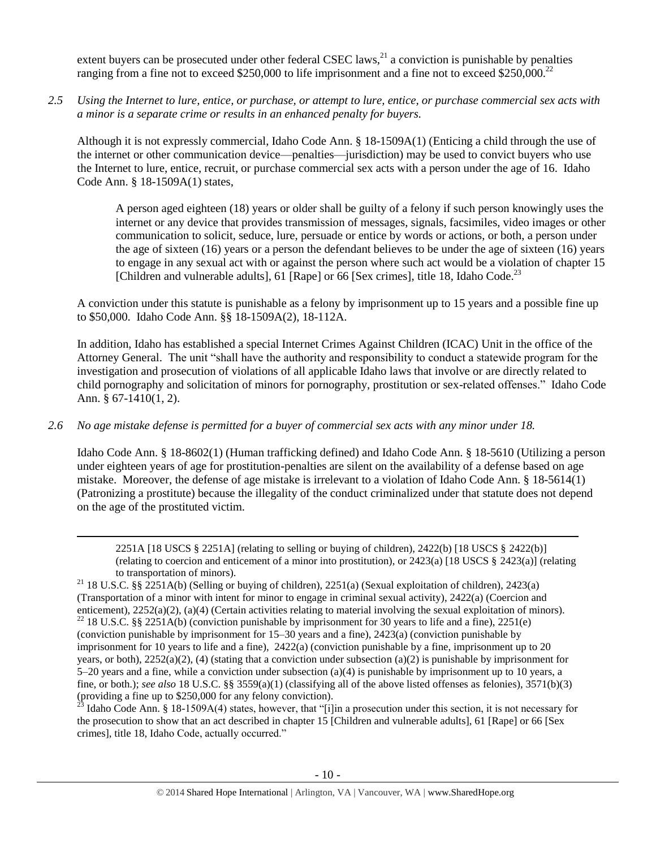extent buyers can be prosecuted under other federal CSEC laws, $^{21}$  a conviction is punishable by penalties ranging from a fine not to exceed \$250,000 to life imprisonment and a fine not to exceed \$250,000.<sup>22</sup>

*2.5 Using the Internet to lure, entice, or purchase, or attempt to lure, entice, or purchase commercial sex acts with a minor is a separate crime or results in an enhanced penalty for buyers.*

Although it is not expressly commercial, Idaho Code Ann. § 18-1509A(1) (Enticing a child through the use of the internet or other communication device—penalties—jurisdiction) may be used to convict buyers who use the Internet to lure, entice, recruit, or purchase commercial sex acts with a person under the age of 16. Idaho Code Ann. § 18-1509A(1) states,

A person aged eighteen (18) years or older shall be guilty of a felony if such person knowingly uses the internet or any device that provides transmission of messages, signals, facsimiles, video images or other communication to solicit, seduce, lure, persuade or entice by words or actions, or both, a person under the age of sixteen (16) years or a person the defendant believes to be under the age of sixteen (16) years to engage in any sexual act with or against the person where such act would be a violation of chapter 15 [Children and vulnerable adults], 61 [Rape] or 66 [Sex crimes], [title 18,](http://www.legislature.idaho.gov/idstat/Title18/T18.htm) Idaho Code.<sup>23</sup>

A conviction under this statute is punishable as a felony by imprisonment up to 15 years and a possible fine up to \$50,000. Idaho Code Ann. §§ 18-1509A(2), 18-112A.

In addition, Idaho has established a special Internet Crimes Against Children (ICAC) Unit in the office of the Attorney General. The unit "shall have the authority and responsibility to conduct a statewide program for the investigation and prosecution of violations of all applicable Idaho laws that involve or are directly related to child pornography and solicitation of minors for pornography, prostitution or sex-related offenses." Idaho Code Ann. § 67-1410(1, 2).

## *2.6 No age mistake defense is permitted for a buyer of commercial sex acts with any minor under 18.*

 $\overline{\phantom{a}}$ 

Idaho Code Ann. § 18-8602(1) (Human trafficking defined) and Idaho Code Ann. § 18-5610 (Utilizing a person under eighteen years of age for prostitution-penalties are silent on the availability of a defense based on age mistake. Moreover, the defense of age mistake is irrelevant to a violation of Idaho Code Ann. § 18-5614(1) (Patronizing a prostitute) because the illegality of the conduct criminalized under that statute does not depend on the age of the prostituted victim.

2251A [18 USCS § 2251A] (relating to selling or buying of children), 2422(b) [18 USCS § 2422(b)] (relating to coercion and enticement of a minor into prostitution), or 2423(a) [18 USCS § 2423(a)] (relating to transportation of minors).

<sup>23</sup> Idaho Code Ann. § 18-1509A(4) states, however, that "[i]in a prosecution under this section, it is not necessary for the prosecution to show that an act described in chapter 15 [Children and vulnerable adults], 61 [Rape] or 66 [Sex crimes], title 18, Idaho Code, actually occurred."

<sup>&</sup>lt;sup>21</sup> 18 U.S.C. §§ 2251A(b) (Selling or buying of children), 2251(a) (Sexual exploitation of children), 2423(a) (Transportation of a minor with intent for minor to engage in criminal sexual activity), 2422(a) (Coercion and enticement), 2252(a)(2), (a)(4) (Certain activities relating to material involving the sexual exploitation of minors). <sup>22</sup> 18 U.S.C. §§ 2251A(b) (conviction punishable by imprisonment for 30 years to life and a fine), 2251(e) (conviction punishable by imprisonment for 15–30 years and a fine), 2423(a) (conviction punishable by imprisonment for 10 years to life and a fine),  $2422(a)$  (conviction punishable by a fine, imprisonment up to 20 years, or both),  $2252(a)(2)$ , (4) (stating that a conviction under subsection (a)(2) is punishable by imprisonment for 5–20 years and a fine, while a conviction under subsection (a)(4) is punishable by imprisonment up to 10 years, a fine, or both.); *see also* 18 U.S.C. §§ 3559(a)(1) (classifying all of the above listed offenses as felonies), 3571(b)(3) (providing a fine up to \$250,000 for any felony conviction).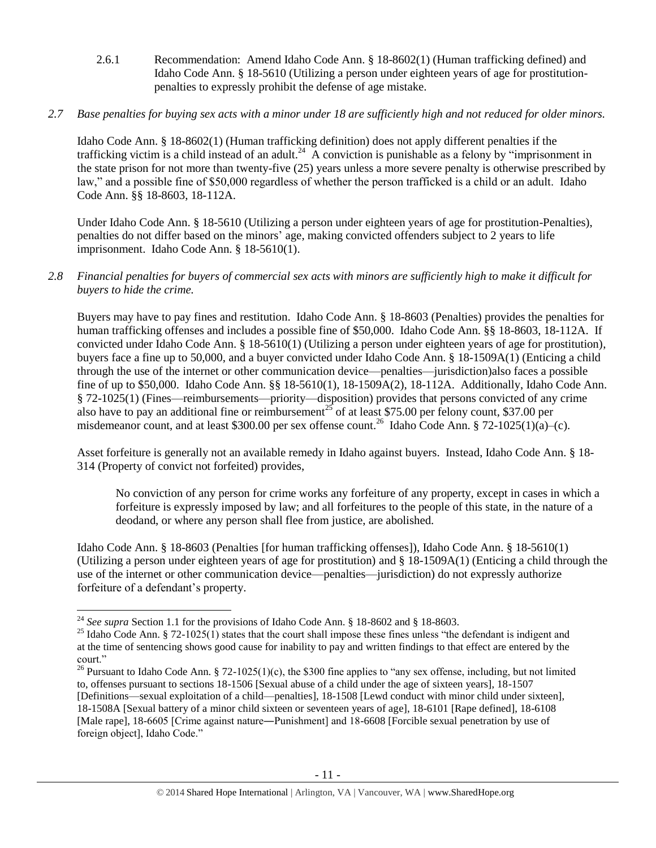2.6.1 Recommendation: Amend Idaho Code Ann. § 18-8602(1) (Human trafficking defined) and Idaho Code Ann. § 18-5610 (Utilizing a person under eighteen years of age for prostitutionpenalties to expressly prohibit the defense of age mistake.

# *2.7 Base penalties for buying sex acts with a minor under 18 are sufficiently high and not reduced for older minors.*

Idaho Code Ann. § 18-8602(1) (Human trafficking definition) does not apply different penalties if the trafficking victim is a child instead of an adult.<sup>24</sup> A conviction is punishable as a felony by "imprisonment in the state prison for not more than twenty-five (25) years unless a more severe penalty is otherwise prescribed by law," and a possible fine of \$50,000 regardless of whether the person trafficked is a child or an adult. Idaho Code Ann. §§ 18-8603, 18-112A.

Under Idaho Code Ann. § 18-5610 (Utilizing a person under eighteen years of age for prostitution-Penalties), penalties do not differ based on the minors' age, making convicted offenders subject to 2 years to life imprisonment. Idaho Code Ann. § 18-5610(1).

## *2.8 Financial penalties for buyers of commercial sex acts with minors are sufficiently high to make it difficult for buyers to hide the crime.*

Buyers may have to pay fines and restitution. Idaho Code Ann. § 18-8603 (Penalties) provides the penalties for human trafficking offenses and includes a possible fine of \$50,000. Idaho Code Ann. §§ 18-8603, 18-112A. If convicted under Idaho Code Ann. § 18-5610(1) (Utilizing a person under eighteen years of age for prostitution), buyers face a fine up to 50,000, and a buyer convicted under Idaho Code Ann. § 18-1509A(1) (Enticing a child through the use of the internet or other communication device—penalties—jurisdiction)also faces a possible fine of up to \$50,000. Idaho Code Ann. §§ 18-5610(1), 18-1509A(2), 18-112A. Additionally, Idaho Code Ann. § 72-1025(1) (Fines—reimbursements—priority—disposition) provides that persons convicted of any crime also have to pay an additional fine or reimbursement<sup>25</sup> of at least \$75.00 per felony count, \$37.00 per misdemeanor count, and at least \$300.00 per sex offense count.<sup>26</sup> Idaho Code Ann. § 72-1025(1)(a)–(c).

Asset forfeiture is generally not an available remedy in Idaho against buyers. Instead, Idaho Code Ann. § 18- 314 (Property of convict not forfeited) provides,

<span id="page-10-0"></span>No conviction of any person for crime works any forfeiture of any property, except in cases in which a forfeiture is expressly imposed by law; and all forfeitures to the people of this state, in the nature of a deodand, or where any person shall flee from justice, are abolished.

Idaho Code Ann. § 18-8603 (Penalties [for human trafficking offenses]), Idaho Code Ann. § 18-5610(1) (Utilizing a person under eighteen years of age for prostitution) and § 18-1509A(1) (Enticing a child through the use of the internet or other communication device—penalties—jurisdiction) do not expressly authorize forfeiture of a defendant's property.

 $\overline{\phantom{a}}$ <sup>24</sup> *See supra* Section 1.1 for the provisions of Idaho Code Ann. § 18-8602 and § 18-8603.

<sup>&</sup>lt;sup>25</sup> Idaho Code Ann. § 72-1025(1) states that the court shall impose these fines unless "the defendant is indigent and at the time of sentencing shows good cause for inability to pay and written findings to that effect are entered by the court."

<sup>&</sup>lt;sup>26</sup> Pursuant to Idaho Code Ann. § 72-1025(1)(c), the \$300 fine applies to "any sex offense, including, but not limited to, offenses pursuant to sections 18-1506 [Sexual abuse of a child under the age of sixteen years], 18-1507 [Definitions—sexual exploitation of a child—penalties], 18-1508 [Lewd conduct with minor child under sixteen], 18-1508A [Sexual battery of a minor child sixteen or seventeen years of age], 18-6101 [Rape defined], 18-6108 [Male rape], 18-6605 [Crime against nature—Punishment] and 18-6608 [Forcible sexual penetration by use of foreign object], Idaho Code."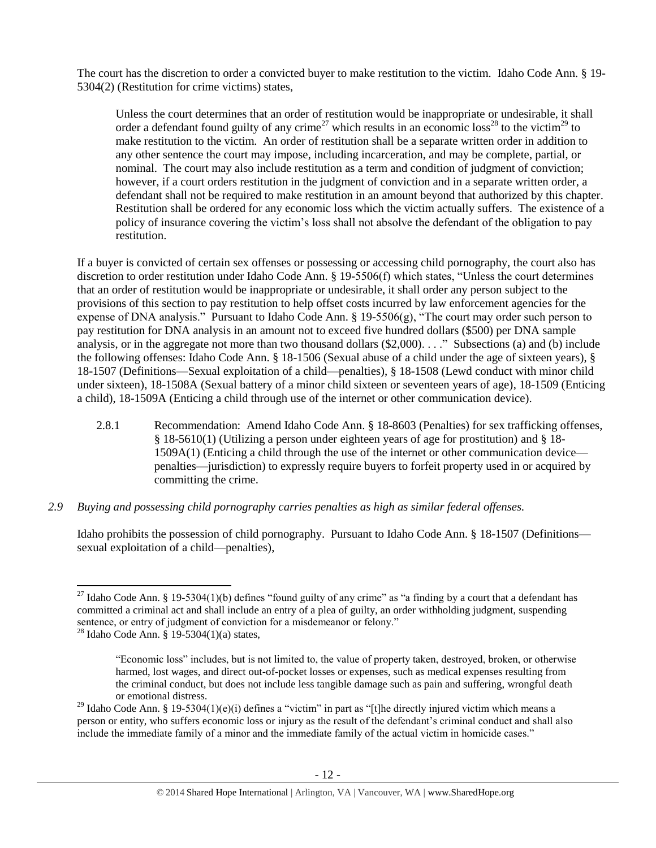The court has the discretion to order a convicted buyer to make restitution to the victim. Idaho Code Ann. § 19- 5304(2) (Restitution for crime victims) states,

<span id="page-11-2"></span><span id="page-11-1"></span><span id="page-11-0"></span>Unless the court determines that an order of restitution would be inappropriate or undesirable, it shall order a defendant found guilty of any crime<sup>27</sup> which results in an economic loss<sup>28</sup> to the victim<sup>29</sup> to make restitution to the victim. An order of restitution shall be a separate written order in addition to any other sentence the court may impose, including incarceration, and may be complete, partial, or nominal. The court may also include restitution as a term and condition of judgment of conviction; however, if a court orders restitution in the judgment of conviction and in a separate written order, a defendant shall not be required to make restitution in an amount beyond that authorized by this chapter. Restitution shall be ordered for any economic loss which the victim actually suffers. The existence of a policy of insurance covering the victim's loss shall not absolve the defendant of the obligation to pay restitution.

If a buyer is convicted of certain sex offenses or possessing or accessing child pornography, the court also has discretion to order restitution under Idaho Code Ann. § 19-5506(f) which states, "Unless the court determines that an order of restitution would be inappropriate or undesirable, it shall order any person subject to the provisions of this section to pay restitution to help offset costs incurred by law enforcement agencies for the expense of DNA analysis." Pursuant to Idaho Code Ann. § 19-5506(g), "The court may order such person to pay restitution for DNA analysis in an amount not to exceed five hundred dollars (\$500) per DNA sample analysis, or in the aggregate not more than two thousand dollars (\$2,000). . . ." Subsections (a) and (b) include the following offenses: Idaho Code Ann. § 18-1506 (Sexual abuse of a child under the age of sixteen years), § 18-1507 (Definitions—Sexual exploitation of a child—penalties), § 18-1508 (Lewd conduct with minor child under sixteen), 18-1508A (Sexual battery of a minor child sixteen or seventeen years of age), 18-1509 (Enticing a child), 18-1509A (Enticing a child through use of the internet or other communication device).

- 2.8.1 Recommendation: Amend Idaho Code Ann. § 18-8603 (Penalties) for sex trafficking offenses, § 18-5610(1) (Utilizing a person under eighteen years of age for prostitution) and § 18- 1509A(1) (Enticing a child through the use of the internet or other communication device penalties—jurisdiction) to expressly require buyers to forfeit property used in or acquired by committing the crime.
- *2.9 Buying and possessing child pornography carries penalties as high as similar federal offenses.*

Idaho prohibits the possession of child pornography. Pursuant to Idaho Code Ann. § 18-1507 (Definitions sexual exploitation of a child—penalties),

 $\overline{\phantom{a}}$ 

<sup>&</sup>lt;sup>27</sup> Idaho Code Ann. § 19-5304(1)(b) defines "found guilty of any crime" as "a finding by a court that a defendant has committed a criminal act and shall include an entry of a plea of guilty, an order withholding judgment, suspending sentence, or entry of judgment of conviction for a misdemeanor or felony."

<sup>&</sup>lt;sup>28</sup> Idaho Code Ann. § 19-5304(1)(a) states,

<sup>&</sup>quot;Economic loss" includes, but is not limited to, the value of property taken, destroyed, broken, or otherwise harmed, lost wages, and direct out-of-pocket losses or expenses, such as medical expenses resulting from the criminal conduct, but does not include less tangible damage such as pain and suffering, wrongful death or emotional distress.

<sup>&</sup>lt;sup>29</sup> Idaho Code Ann. § 19-5304(1)(e)(i) defines a "victim" in part as "[t]he directly injured victim which means a person or entity, who suffers economic loss or injury as the result of the defendant's criminal conduct and shall also include the immediate family of a minor and the immediate family of the actual victim in homicide cases."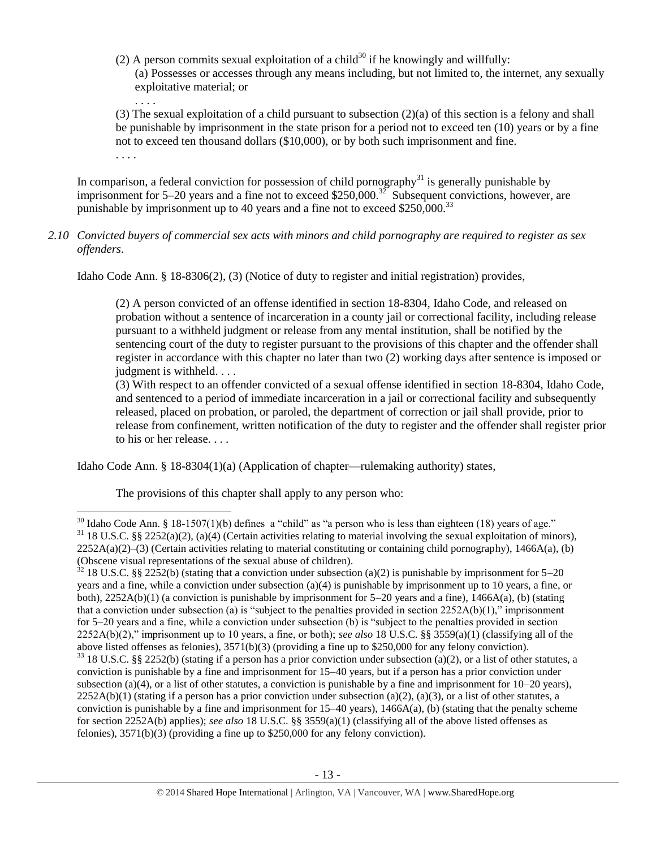(2) A person commits sexual exploitation of a child<sup>30</sup> if he knowingly and willfully: (a) Possesses or accesses through any means including, but not limited to, the internet, any sexually exploitative material; or

. . . . (3) The sexual exploitation of a child pursuant to subsection (2)(a) of this section is a felony and shall be punishable by imprisonment in the state prison for a period not to exceed ten (10) years or by a fine not to exceed ten thousand dollars (\$10,000), or by both such imprisonment and fine. . . . .

In comparison, a federal conviction for possession of child pornography $31$  is generally punishable by imprisonment for 5–20 years and a fine not to exceed \$250,000.<sup>32</sup> Subsequent convictions, however, are punishable by imprisonment up to 40 years and a fine not to exceed  $$250,000.<sup>33</sup>$ 

*2.10 Convicted buyers of commercial sex acts with minors and child pornography are required to register as sex offenders*.

Idaho Code Ann. § 18-8306(2), (3) (Notice of duty to register and initial registration) provides,

(2) A person convicted of an offense identified in section 18-8304, Idaho Code, and released on probation without a sentence of incarceration in a county jail or correctional facility, including release pursuant to a withheld judgment or release from any mental institution, shall be notified by the sentencing court of the duty to register pursuant to the provisions of this chapter and the offender shall register in accordance with this chapter no later than two (2) working days after sentence is imposed or judgment is withheld. . . .

(3) With respect to an offender convicted of a sexual offense identified in section 18-8304, Idaho Code, and sentenced to a period of immediate incarceration in a jail or correctional facility and subsequently released, placed on probation, or paroled, the department of correction or jail shall provide, prior to release from confinement, written notification of the duty to register and the offender shall register prior to his or her release. . . .

Idaho Code Ann. § 18-8304(1)(a) (Application of chapter—rulemaking authority) states,

The provisions of this chapter shall apply to any person who:

 $\overline{\phantom{a}}$ 

 $30$  Idaho Code Ann. § 18-1507(1)(b) defines a "child" as "a person who is less than eighteen (18) years of age."  $31$  18 U.S.C. §§ 2252(a)(2), (a)(4) (Certain activities relating to material involving the sexual exploitation of minors),  $2252A(a)(2)$ –(3) (Certain activities relating to material constituting or containing child pornography), 1466A(a), (b) (Obscene visual representations of the sexual abuse of children).

 $32$  18 U.S.C. §§ 2252(b) (stating that a conviction under subsection (a)(2) is punishable by imprisonment for 5–20 years and a fine, while a conviction under subsection (a)(4) is punishable by imprisonment up to 10 years, a fine, or both), 2252A(b)(1) (a conviction is punishable by imprisonment for 5–20 years and a fine), 1466A(a), (b) (stating that a conviction under subsection (a) is "subject to the penalties provided in section  $2252A(b)(1)$ ," imprisonment for 5–20 years and a fine, while a conviction under subsection (b) is "subject to the penalties provided in section 2252A(b)(2)," imprisonment up to 10 years, a fine, or both); *see also* 18 U.S.C. §§ 3559(a)(1) (classifying all of the above listed offenses as felonies), 3571(b)(3) (providing a fine up to \$250,000 for any felony conviction).

 $33$  18 U.S.C. §§ 2252(b) (stating if a person has a prior conviction under subsection (a)(2), or a list of other statutes, a conviction is punishable by a fine and imprisonment for 15–40 years, but if a person has a prior conviction under subsection (a)(4), or a list of other statutes, a conviction is punishable by a fine and imprisonment for  $10-20$  years),  $2252A(b)(1)$  (stating if a person has a prior conviction under subsection (a)(2), (a)(3), or a list of other statutes, a conviction is punishable by a fine and imprisonment for  $15-40$  years),  $1466A(a)$ , (b) (stating that the penalty scheme for section 2252A(b) applies); *see also* 18 U.S.C. §§ 3559(a)(1) (classifying all of the above listed offenses as felonies), 3571(b)(3) (providing a fine up to \$250,000 for any felony conviction).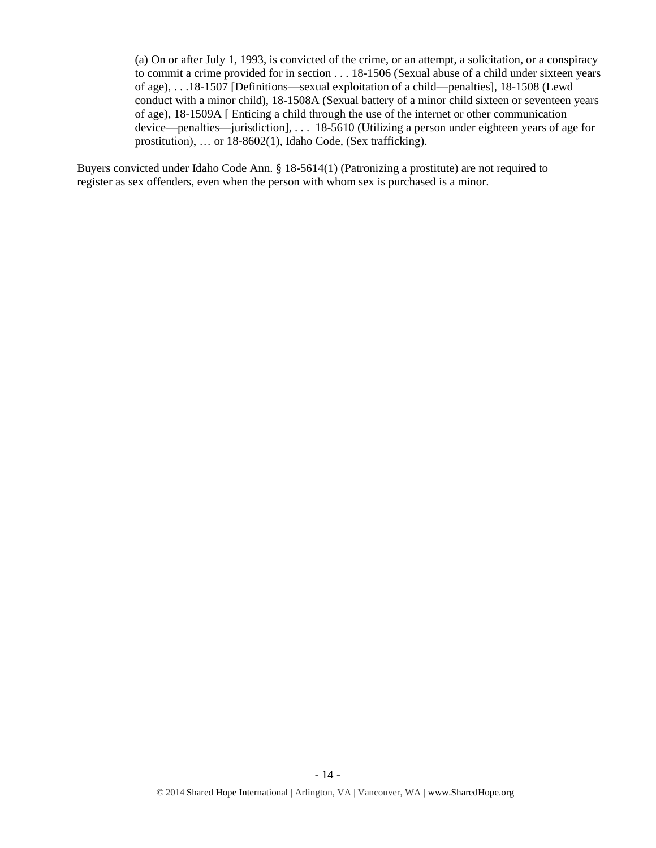(a) On or after July 1, 1993, is convicted of the crime, or an attempt, a solicitation, or a conspiracy to commit a crime provided for in section . . . 18-1506 (Sexual abuse of a child under sixteen years of age), . . .18-1507 [Definitions—sexual exploitation of a child—penalties], 18-1508 (Lewd conduct with a minor child), 18-1508A (Sexual battery of a minor child sixteen or seventeen years of age), 18-1509A [ Enticing a child through the use of the internet or other communication device—penalties—jurisdiction], . . . 18-5610 (Utilizing a person under eighteen years of age for prostitution), … or 18-8602(1), Idaho Code, (Sex trafficking).

Buyers convicted under Idaho Code Ann. § 18-5614(1) (Patronizing a prostitute) are not required to register as sex offenders, even when the person with whom sex is purchased is a minor.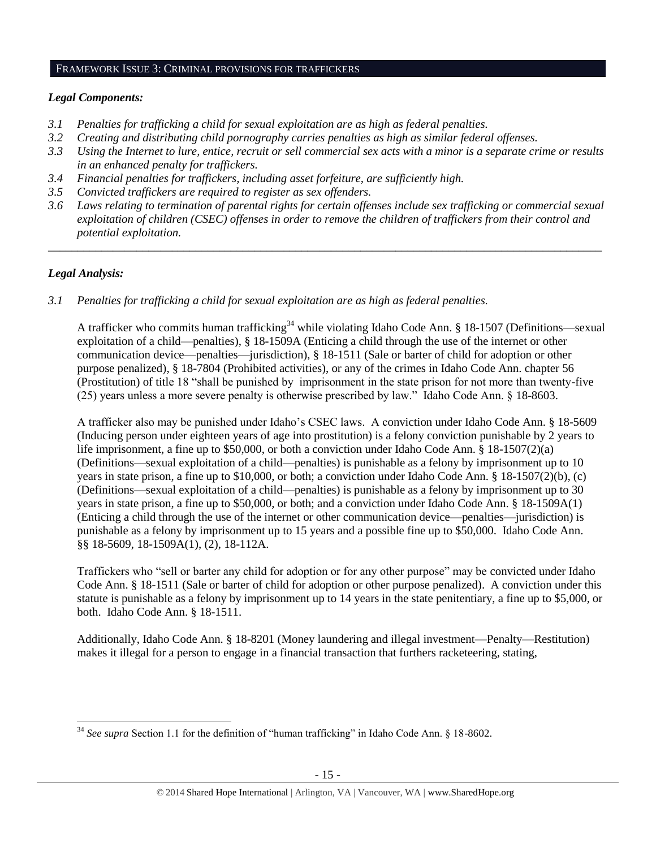#### FRAMEWORK ISSUE 3: CRIMINAL PROVISIONS FOR TRAFFICKERS

## *Legal Components:*

- *3.1 Penalties for trafficking a child for sexual exploitation are as high as federal penalties.*
- *3.2 Creating and distributing child pornography carries penalties as high as similar federal offenses.*
- *3.3 Using the Internet to lure, entice, recruit or sell commercial sex acts with a minor is a separate crime or results in an enhanced penalty for traffickers.*
- *3.4 Financial penalties for traffickers, including asset forfeiture, are sufficiently high.*
- *3.5 Convicted traffickers are required to register as sex offenders.*
- *3.6 Laws relating to termination of parental rights for certain offenses include sex trafficking or commercial sexual exploitation of children (CSEC) offenses in order to remove the children of traffickers from their control and potential exploitation.*

*\_\_\_\_\_\_\_\_\_\_\_\_\_\_\_\_\_\_\_\_\_\_\_\_\_\_\_\_\_\_\_\_\_\_\_\_\_\_\_\_\_\_\_\_\_\_\_\_\_\_\_\_\_\_\_\_\_\_\_\_\_\_\_\_\_\_\_\_\_\_\_\_\_\_\_\_\_\_\_\_\_\_\_\_\_\_\_\_\_\_\_\_\_\_*

# *Legal Analysis:*

*3.1 Penalties for trafficking a child for sexual exploitation are as high as federal penalties.* 

A trafficker who commits human trafficking<sup>34</sup> while violating Idaho Code Ann. § 18-1507 (Definitions—sexual exploitation of a child—penalties), § 18-1509A (Enticing a child through the use of the internet or other communication device—penalties—jurisdiction), § 18-1511 (Sale or barter of child for adoption or other purpose penalized), § 18-7804 (Prohibited activities), or any of the crimes in Idaho Code Ann. chapter 56 (Prostitution) of title 18 "shall be punished by imprisonment in the state prison for not more than twenty-five (25) years unless a more severe penalty is otherwise prescribed by law." Idaho Code Ann. § 18-8603.

A trafficker also may be punished under Idaho's CSEC laws. A conviction under Idaho Code Ann. § 18-5609 (Inducing person under eighteen years of age into prostitution) is a felony conviction punishable by 2 years to life imprisonment, a fine up to \$50,000, or both a conviction under Idaho Code Ann. § 18-1507(2)(a) (Definitions—sexual exploitation of a child—penalties) is punishable as a felony by imprisonment up to 10 years in state prison, a fine up to \$10,000, or both; a conviction under Idaho Code Ann. § 18-1507(2)(b), (c) (Definitions—sexual exploitation of a child—penalties) is punishable as a felony by imprisonment up to 30 years in state prison, a fine up to \$50,000, or both; and a conviction under Idaho Code Ann. § 18-1509A(1) (Enticing a child through the use of the internet or other communication device—penalties—jurisdiction) is punishable as a felony by imprisonment up to 15 years and a possible fine up to \$50,000. Idaho Code Ann. §§ 18-5609, 18-1509A(1), (2), 18-112A.

Traffickers who "sell or barter any child for adoption or for any other purpose" may be convicted under Idaho Code Ann. § 18-1511 (Sale or barter of child for adoption or other purpose penalized). A conviction under this statute is punishable as a felony by imprisonment up to 14 years in the state penitentiary, a fine up to \$5,000, or both. Idaho Code Ann. § 18-1511.

Additionally, Idaho Code Ann. § 18-8201 (Money laundering and illegal investment—Penalty—Restitution) makes it illegal for a person to engage in a financial transaction that furthers racketeering, stating,

 $\overline{\phantom{a}}$ <sup>34</sup> *See supra* Section 1.1 for the definition of "human trafficking" in Idaho Code Ann. § 18-8602.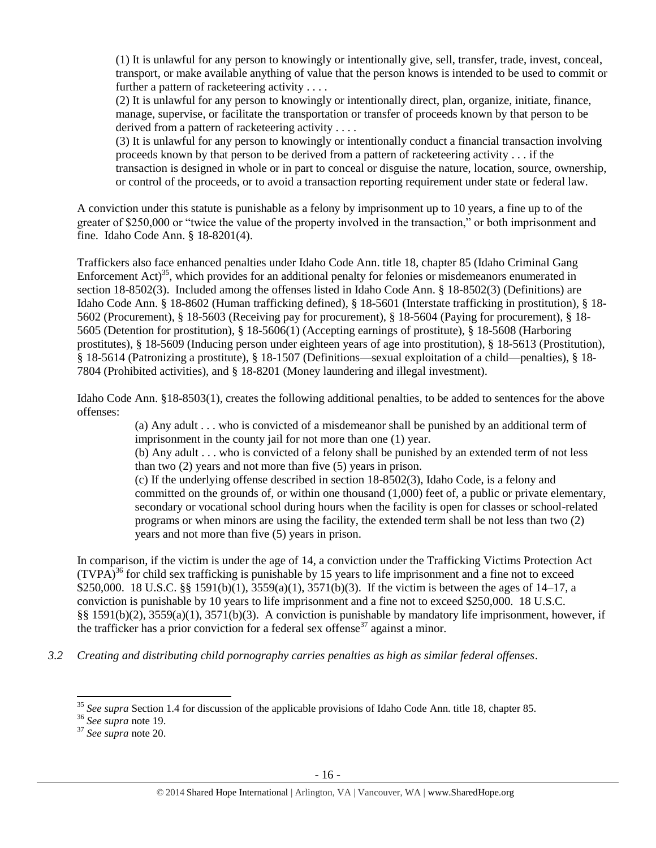(1) It is unlawful for any person to knowingly or intentionally give, sell, transfer, trade, invest, conceal, transport, or make available anything of value that the person knows is intended to be used to commit or further a pattern of racketeering activity . . . .

(2) It is unlawful for any person to knowingly or intentionally direct, plan, organize, initiate, finance, manage, supervise, or facilitate the transportation or transfer of proceeds known by that person to be derived from a pattern of racketeering activity . . . .

(3) It is unlawful for any person to knowingly or intentionally conduct a financial transaction involving proceeds known by that person to be derived from a pattern of racketeering activity . . . if the transaction is designed in whole or in part to conceal or disguise the nature, location, source, ownership, or control of the proceeds, or to avoid a transaction reporting requirement under state or federal law.

A conviction under this statute is punishable as a felony by imprisonment up to 10 years, a fine up to of the greater of \$250,000 or "twice the value of the property involved in the transaction," or both imprisonment and fine. Idaho Code Ann. § 18-8201(4).

Traffickers also face enhanced penalties under Idaho Code Ann. title 18, chapter 85 (Idaho Criminal Gang Enforcement  $\text{Act}$ <sup>35</sup>, which provides for an additional penalty for felonies or misdemeanors enumerated in section 18-8502(3). Included among the offenses listed in Idaho Code Ann. § 18-8502(3) (Definitions) are Idaho Code Ann. § 18-8602 (Human trafficking defined), § 18-5601 (Interstate trafficking in prostitution), § 18- 5602 (Procurement), § 18-5603 (Receiving pay for procurement), § 18-5604 (Paying for procurement), § 18- 5605 (Detention for prostitution), § 18-5606(1) (Accepting earnings of prostitute), § 18-5608 (Harboring prostitutes), § 18-5609 (Inducing person under eighteen years of age into prostitution), § 18-5613 (Prostitution), § 18-5614 (Patronizing a prostitute), § 18-1507 (Definitions—sexual exploitation of a child—penalties), § 18- 7804 (Prohibited activities), and § 18-8201 (Money laundering and illegal investment).

Idaho Code Ann. §18-8503(1), creates the following additional penalties, to be added to sentences for the above offenses:

> (a) Any adult . . . who is convicted of a misdemeanor shall be punished by an additional term of imprisonment in the county jail for not more than one (1) year.

> (b) Any adult . . . who is convicted of a felony shall be punished by an extended term of not less than two (2) years and not more than five (5) years in prison.

(c) If the underlying offense described in section 18-8502(3), Idaho Code, is a felony and committed on the grounds of, or within one thousand (1,000) feet of, a public or private elementary, secondary or vocational school during hours when the facility is open for classes or school-related programs or when minors are using the facility, the extended term shall be not less than two (2) years and not more than five (5) years in prison.

In comparison, if the victim is under the age of 14, a conviction under the Trafficking Victims Protection Act  $(TVPA)<sup>36</sup>$  for child sex trafficking is punishable by 15 years to life imprisonment and a fine not to exceed \$250,000. 18 U.S.C. §§ 1591(b)(1), 3559(a)(1), 3571(b)(3). If the victim is between the ages of 14–17, a conviction is punishable by 10 years to life imprisonment and a fine not to exceed \$250,000. 18 U.S.C. §§ 1591(b)(2), 3559(a)(1), 3571(b)(3). A conviction is punishable by mandatory life imprisonment, however, if the trafficker has a prior conviction for a federal sex offense<sup>37</sup> against a minor.

*3.2 Creating and distributing child pornography carries penalties as high as similar federal offenses*.

l

<sup>35</sup> *See supra* Section 1.4 for discussion of the applicable provisions of Idaho Code Ann. title 18, chapter 85.

<sup>36</sup> *See supra* note [19.](#page-8-0) 

<sup>37</sup> *See supra* note [20.](#page-8-1)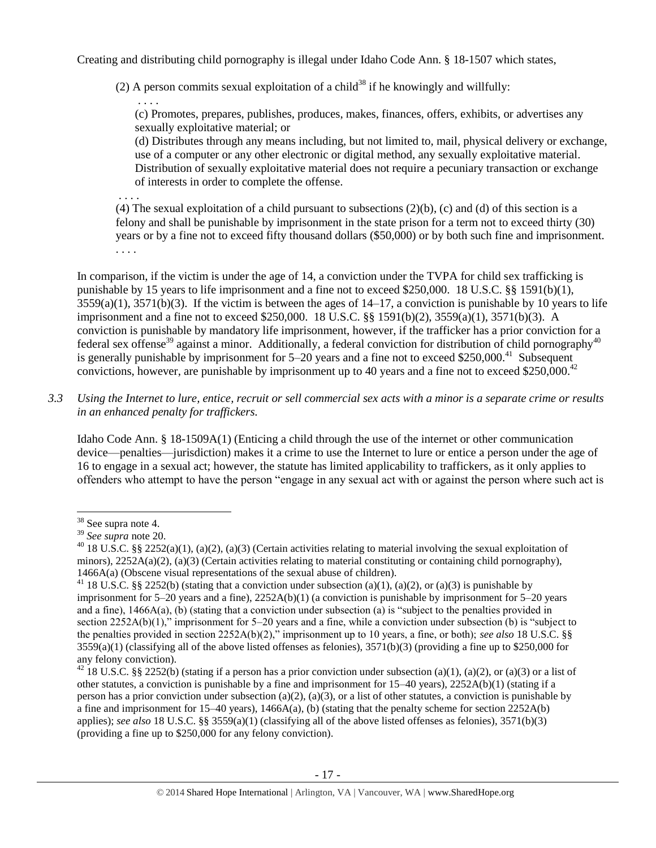Creating and distributing child pornography is illegal under Idaho Code Ann. § 18-1507 which states,

(2) A person commits sexual exploitation of a child<sup>38</sup> if he knowingly and willfully:

. . . .

(c) Promotes, prepares, publishes, produces, makes, finances, offers, exhibits, or advertises any sexually exploitative material; or

(d) Distributes through any means including, but not limited to, mail, physical delivery or exchange, use of a computer or any other electronic or digital method, any sexually exploitative material. Distribution of sexually exploitative material does not require a pecuniary transaction or exchange of interests in order to complete the offense.

. . . .

(4) The sexual exploitation of a child pursuant to subsections  $(2)(b)$ , (c) and (d) of this section is a felony and shall be punishable by imprisonment in the state prison for a term not to exceed thirty (30) years or by a fine not to exceed fifty thousand dollars (\$50,000) or by both such fine and imprisonment. . . . .

In comparison, if the victim is under the age of 14, a conviction under the TVPA for child sex trafficking is punishable by 15 years to life imprisonment and a fine not to exceed \$250,000. 18 U.S.C. §§ 1591(b)(1),  $3559(a)(1)$ ,  $3571(b)(3)$ . If the victim is between the ages of  $14-17$ , a conviction is punishable by 10 years to life imprisonment and a fine not to exceed \$250,000. 18 U.S.C. §§ 1591(b)(2), 3559(a)(1), 3571(b)(3). A conviction is punishable by mandatory life imprisonment, however, if the trafficker has a prior conviction for a federal sex offense<sup>39</sup> against a minor. Additionally, a federal conviction for distribution of child pornography<sup>40</sup> is generally punishable by imprisonment for  $5-20$  years and a fine not to exceed \$250,000.<sup>41</sup> Subsequent convictions, however, are punishable by imprisonment up to 40 years and a fine not to exceed \$250,000.<sup>42</sup>

*3.3 Using the Internet to lure, entice, recruit or sell commercial sex acts with a minor is a separate crime or results in an enhanced penalty for traffickers.*

Idaho Code Ann. § 18-1509A(1) (Enticing a child through the use of the internet or other communication device—penalties—jurisdiction) makes it a crime to use the Internet to lure or entice a person under the age of 16 to engage in a sexual act; however, the statute has limited applicability to traffickers, as it only applies to offenders who attempt to have the person "engage in any sexual act with or against the person where such act is

 $\overline{\phantom{a}}$ 

<sup>38</sup> See supra note [4.](#page-1-0)

<sup>39</sup> *See supra* note [20.](#page-8-1) 

<sup>&</sup>lt;sup>40</sup> 18 U.S.C. §§ 2252(a)(1), (a)(2), (a)(3) (Certain activities relating to material involving the sexual exploitation of minors),  $2252A(a)(2)$ , (a)(3) (Certain activities relating to material constituting or containing child pornography), 1466A(a) (Obscene visual representations of the sexual abuse of children).

<sup>&</sup>lt;sup>41</sup> 18 U.S.C. §§ 2252(b) (stating that a conviction under subsection (a)(1), (a)(2), or (a)(3) is punishable by imprisonment for 5–20 years and a fine), 2252A(b)(1) (a conviction is punishable by imprisonment for 5–20 years and a fine), 1466A(a), (b) (stating that a conviction under subsection (a) is "subject to the penalties provided in section 2252A(b)(1)," imprisonment for 5–20 years and a fine, while a conviction under subsection (b) is "subject to the penalties provided in section 2252A(b)(2)," imprisonment up to 10 years, a fine, or both); *see also* 18 U.S.C. §§  $3559(a)(1)$  (classifying all of the above listed offenses as felonies),  $3571(b)(3)$  (providing a fine up to \$250,000 for any felony conviction).

<sup>&</sup>lt;sup>42</sup> 18 U.S.C. §§ 2252(b) (stating if a person has a prior conviction under subsection (a)(1), (a)(2), or (a)(3) or a list of other statutes, a conviction is punishable by a fine and imprisonment for 15–40 years), 2252A(b)(1) (stating if a person has a prior conviction under subsection (a)(2), (a)(3), or a list of other statutes, a conviction is punishable by a fine and imprisonment for  $15-40$  years),  $1466A(a)$ , (b) (stating that the penalty scheme for section  $2252A(b)$ applies); *see also* 18 U.S.C. §§ 3559(a)(1) (classifying all of the above listed offenses as felonies), 3571(b)(3) (providing a fine up to \$250,000 for any felony conviction).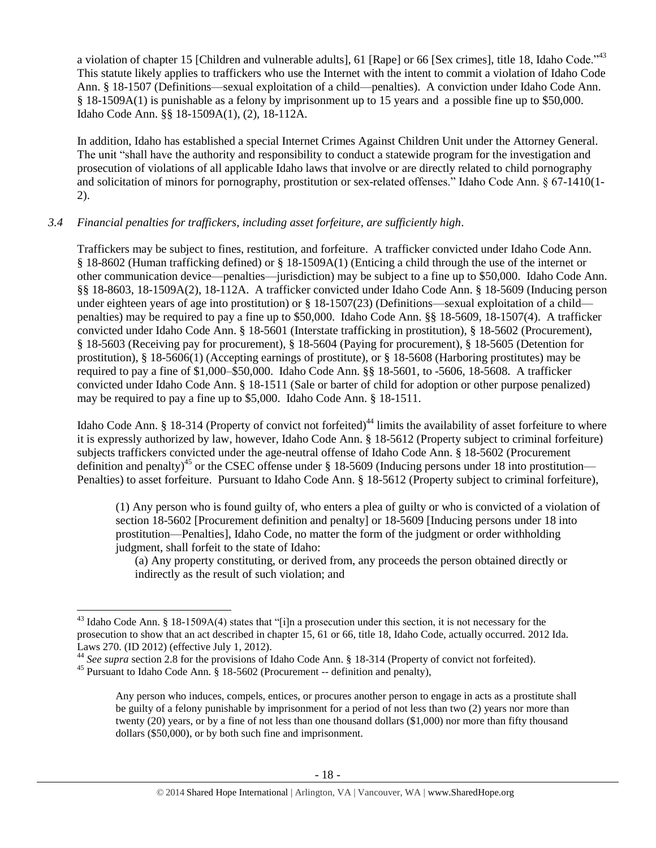a violation of chapter 15 [Children and vulnerable adults], 61 [Rape] or 66 [Sex crimes], [title 18,](http://www.legislature.idaho.gov/idstat/Title18/T18.htm) Idaho Code."<sup>43</sup> This statute likely applies to traffickers who use the Internet with the intent to commit a violation of Idaho Code Ann. § 18-1507 (Definitions—sexual exploitation of a child—penalties). A conviction under Idaho Code Ann. § 18-1509A(1) is punishable as a felony by imprisonment up to 15 years and a possible fine up to \$50,000. Idaho Code Ann. §§ 18-1509A(1), (2), 18-112A.

In addition, Idaho has established a special Internet Crimes Against Children Unit under the Attorney General. The unit "shall have the authority and responsibility to conduct a statewide program for the investigation and prosecution of violations of all applicable Idaho laws that involve or are directly related to child pornography and solicitation of minors for pornography, prostitution or sex-related offenses." Idaho Code Ann. § 67-1410(1- 2).

## *3.4 Financial penalties for traffickers, including asset forfeiture, are sufficiently high*.

Traffickers may be subject to fines, restitution, and forfeiture. A trafficker convicted under Idaho Code Ann. § 18-8602 (Human trafficking defined) or § 18-1509A(1) (Enticing a child through the use of the internet or other communication device—penalties—jurisdiction) may be subject to a fine up to \$50,000. Idaho Code Ann. §§ 18-8603, 18-1509A(2), 18-112A. A trafficker convicted under Idaho Code Ann. § 18-5609 (Inducing person under eighteen years of age into prostitution) or § 18-1507(23) (Definitions—sexual exploitation of a child penalties) may be required to pay a fine up to \$50,000. Idaho Code Ann. §§ 18-5609, 18-1507(4). A trafficker convicted under Idaho Code Ann. § 18-5601 (Interstate trafficking in prostitution), § 18-5602 (Procurement), § 18-5603 (Receiving pay for procurement), § 18-5604 (Paying for procurement), § 18-5605 (Detention for prostitution), § 18-5606(1) (Accepting earnings of prostitute), or § 18-5608 (Harboring prostitutes) may be required to pay a fine of \$1,000–\$50,000. Idaho Code Ann. §§ 18-5601, to -5606, 18-5608. A trafficker convicted under Idaho Code Ann. § 18-1511 (Sale or barter of child for adoption or other purpose penalized) may be required to pay a fine up to \$5,000. Idaho Code Ann. § 18-1511.

Idaho Code Ann. § 18-314 (Property of convict not forfeited)<sup>44</sup> limits the availability of asset forfeiture to where it is expressly authorized by law, however, Idaho Code Ann. § 18-5612 (Property subject to criminal forfeiture) subjects traffickers convicted under the age-neutral offense of Idaho Code Ann. § 18-5602 (Procurement definition and penalty)<sup>45</sup> or the CSEC offense under  $\S$  18-5609 (Inducing persons under 18 into prostitution— Penalties) to asset forfeiture. Pursuant to Idaho Code Ann. § 18-5612 (Property subject to criminal forfeiture),

(1) Any person who is found guilty of, who enters a plea of guilty or who is convicted of a violation of section 18-5602 [Procurement definition and penalty] or 18-5609 [Inducing persons under 18 into prostitution—Penalties], Idaho Code, no matter the form of the judgment or order withholding judgment, shall forfeit to the state of Idaho:

(a) Any property constituting, or derived from, any proceeds the person obtained directly or indirectly as the result of such violation; and

 $\overline{\phantom{a}}$ <sup>43</sup> Idaho Code Ann. § 18-1509A(4) states that "[i]n a prosecution under this section, it is not necessary for the prosecution to show that an act described in chapter 15, 61 or 66, title 18, Idaho Code, actually occurred. 2012 Ida. Laws 270. (ID 2012) (effective July 1, 2012).

<sup>44</sup> *See supra* section 2.8 for the provisions of Idaho Code Ann. § 18-314 (Property of convict not forfeited).

<sup>&</sup>lt;sup>45</sup> Pursuant to Idaho Code Ann. § 18-5602 (Procurement -- definition and penalty),

Any person who induces, compels, entices, or procures another person to engage in acts as a prostitute shall be guilty of a felony punishable by imprisonment for a period of not less than two (2) years nor more than twenty (20) years, or by a fine of not less than one thousand dollars (\$1,000) nor more than fifty thousand dollars (\$50,000), or by both such fine and imprisonment.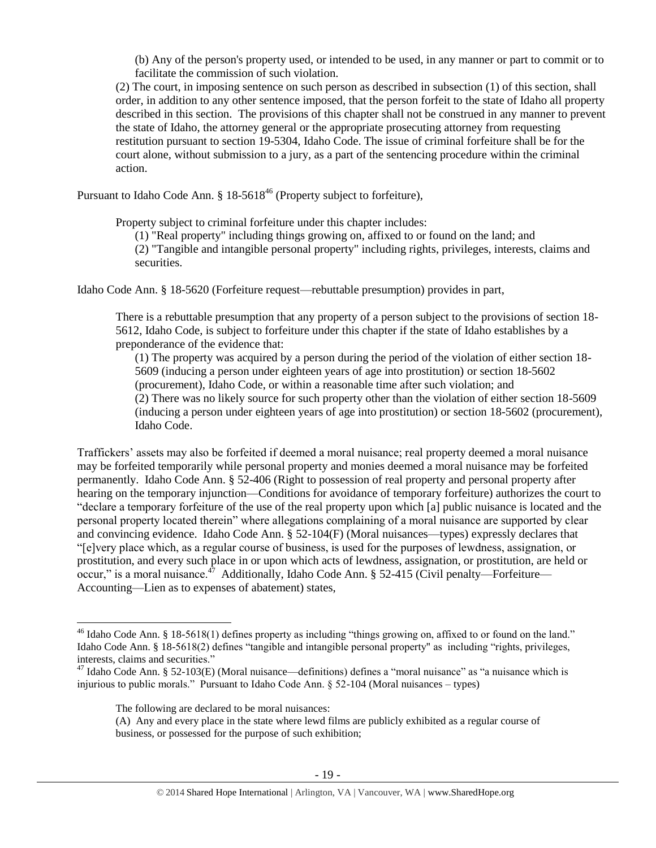(b) Any of the person's property used, or intended to be used, in any manner or part to commit or to facilitate the commission of such violation.

(2) The court, in imposing sentence on such person as described in subsection (1) of this section, shall order, in addition to any other sentence imposed, that the person forfeit to the state of Idaho all property described in this section. The provisions of this chapter shall not be construed in any manner to prevent the state of Idaho, the attorney general or the appropriate prosecuting attorney from requesting restitution pursuant to section 19-5304, Idaho Code. The issue of criminal forfeiture shall be for the court alone, without submission to a jury, as a part of the sentencing procedure within the criminal action.

Pursuant to Idaho Code Ann.  $\S$  18-5618<sup>46</sup> (Property subject to forfeiture),

Property subject to criminal forfeiture under this chapter includes:

(1) "Real property" including things growing on, affixed to or found on the land; and (2) "Tangible and intangible personal property" including rights, privileges, interests, claims and securities.

Idaho Code Ann. § 18-5620 (Forfeiture request—rebuttable presumption) provides in part,

There is a rebuttable presumption that any property of a person subject to the provisions of section 18- 5612, Idaho Code, is subject to forfeiture under this chapter if the state of Idaho establishes by a preponderance of the evidence that:

(1) The property was acquired by a person during the period of the violation of either section 18- 5609 (inducing a person under eighteen years of age into prostitution) or section 18-5602 (procurement), Idaho Code, or within a reasonable time after such violation; and

(2) There was no likely source for such property other than the violation of either section 18-5609 (inducing a person under eighteen years of age into prostitution) or section 18-5602 (procurement), Idaho Code.

Traffickers' assets may also be forfeited if deemed a moral nuisance; real property deemed a moral nuisance may be forfeited temporarily while personal property and monies deemed a moral nuisance may be forfeited permanently. Idaho Code Ann. § 52-406 (Right to possession of real property and personal property after hearing on the temporary injunction—Conditions for avoidance of temporary forfeiture) authorizes the court to "declare a temporary forfeiture of the use of the real property upon which [a] public nuisance is located and the personal property located therein" where allegations complaining of a moral nuisance are supported by clear and convincing evidence. Idaho Code Ann. § 52-104(F) (Moral nuisances—types) expressly declares that "[e]very place which, as a regular course of business, is used for the purposes of lewdness, assignation, or prostitution, and every such place in or upon which acts of lewdness, assignation, or prostitution, are held or occur," is a moral nuisance.<sup>47</sup> Additionally, Idaho Code Ann. § 52-415 (Civil penalty—Forfeiture— Accounting—Lien as to expenses of abatement) states,

<span id="page-18-0"></span>l

<sup>&</sup>lt;sup>46</sup> Idaho Code Ann. § 18-5618(1) defines property as including "things growing on, affixed to or found on the land." Idaho Code Ann. § 18-5618(2) defines "tangible and intangible personal property" as including "rights, privileges, interests, claims and securities."

<sup>&</sup>lt;sup>47</sup> Idaho Code Ann. § 52-103(E) (Moral nuisance—definitions) defines a "moral nuisance" as "a nuisance which is injurious to public morals." Pursuant to Idaho Code Ann. § 52-104 (Moral nuisances – types)

The following are declared to be moral nuisances:

<sup>(</sup>A) Any and every place in the state where lewd films are publicly exhibited as a regular course of business, or possessed for the purpose of such exhibition;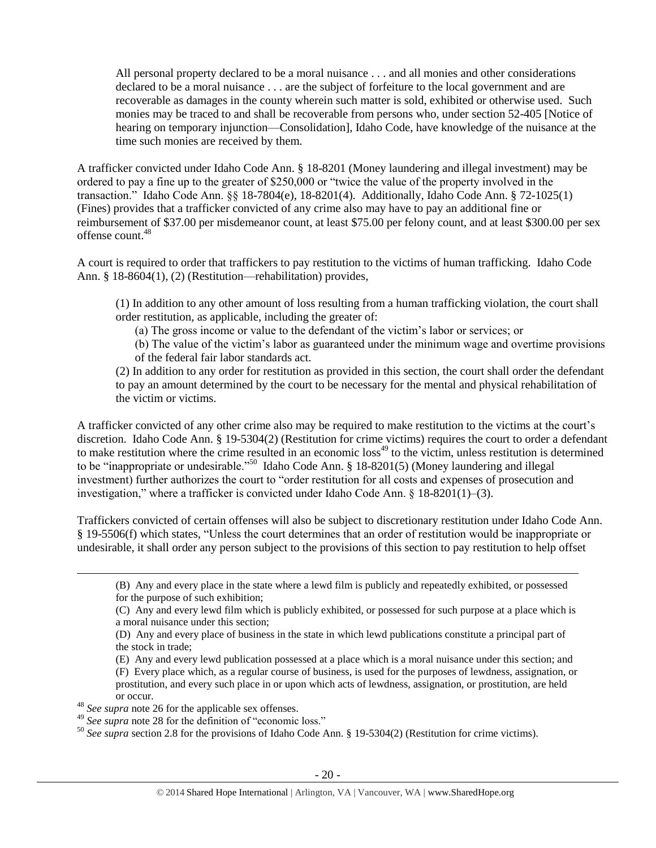All personal property declared to be a moral nuisance . . . and all monies and other considerations declared to be a moral nuisance . . . are the subject of forfeiture to the local government and are recoverable as damages in the county wherein such matter is sold, exhibited or otherwise used. Such monies may be traced to and shall be recoverable from persons who, under section 52-405 [Notice of hearing on temporary injunction—Consolidation], Idaho Code, have knowledge of the nuisance at the time such monies are received by them.

A trafficker convicted under Idaho Code Ann. § 18-8201 (Money laundering and illegal investment) may be ordered to pay a fine up to the greater of \$250,000 or "twice the value of the property involved in the transaction." Idaho Code Ann. §§ 18-7804(e), 18-8201(4). Additionally, Idaho Code Ann. § 72-1025(1) (Fines) provides that a trafficker convicted of any crime also may have to pay an additional fine or reimbursement of \$37.00 per misdemeanor count, at least \$75.00 per felony count, and at least \$300.00 per sex offense count.<sup>48</sup>

A court is required to order that traffickers to pay restitution to the victims of human trafficking. Idaho Code Ann. § 18-8604(1), (2) (Restitution—rehabilitation) provides,

(1) In addition to any other amount of loss resulting from a human trafficking violation, the court shall order restitution, as applicable, including the greater of:

(a) The gross income or value to the defendant of the victim's labor or services; or

(b) The value of the victim's labor as guaranteed under the minimum wage and overtime provisions of the federal fair labor standards act.

(2) In addition to any order for restitution as provided in this section, the court shall order the defendant to pay an amount determined by the court to be necessary for the mental and physical rehabilitation of the victim or victims.

A trafficker convicted of any other crime also may be required to make restitution to the victims at the court's discretion. Idaho Code Ann. § 19-5304(2) (Restitution for crime victims) requires the court to order a defendant to make restitution where the crime resulted in an economic  $loss^{49}$  to the victim, unless restitution is determined to be "inappropriate or undesirable."<sup>50</sup> Idaho Code Ann. § 18-8201(5) (Money laundering and illegal investment) further authorizes the court to "order restitution for all costs and expenses of prosecution and investigation," where a trafficker is convicted under Idaho Code Ann.  $\S$  18-8201(1)–(3).

Traffickers convicted of certain offenses will also be subject to discretionary restitution under Idaho Code Ann. § 19-5506(f) which states, "Unless the court determines that an order of restitution would be inappropriate or undesirable, it shall order any person subject to the provisions of this section to pay restitution to help offset

 $\overline{\phantom{a}}$ 

<sup>(</sup>B) Any and every place in the state where a lewd film is publicly and repeatedly exhibited, or possessed for the purpose of such exhibition;

<sup>(</sup>C) Any and every lewd film which is publicly exhibited, or possessed for such purpose at a place which is a moral nuisance under this section;

<sup>(</sup>D) Any and every place of business in the state in which lewd publications constitute a principal part of the stock in trade;

<sup>(</sup>E) Any and every lewd publication possessed at a place which is a moral nuisance under this section; and (F) Every place which, as a regular course of business, is used for the purposes of lewdness, assignation, or prostitution, and every such place in or upon which acts of lewdness, assignation, or prostitution, are held or occur.

<sup>48</sup> *See supra* note [26](#page-10-0) for the applicable sex offenses.

<sup>&</sup>lt;sup>49</sup> See supra note [28](#page-11-0) for the definition of "economic loss."

<sup>&</sup>lt;sup>50</sup> See supra section 2.8 for the provisions of Idaho Code Ann. § 19-5304(2) (Restitution for crime victims).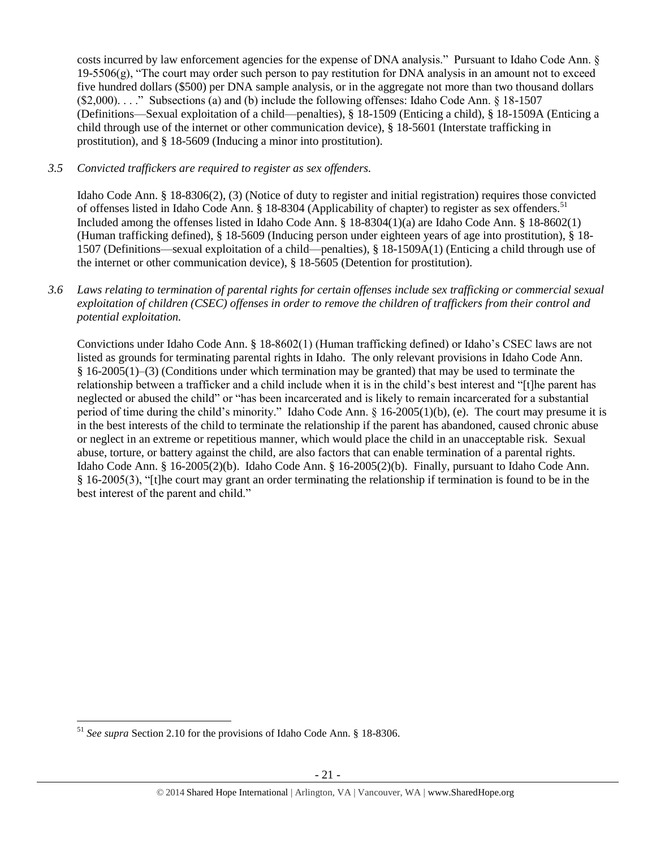costs incurred by law enforcement agencies for the expense of DNA analysis." Pursuant to Idaho Code Ann. § 19-5506(g), "The court may order such person to pay restitution for DNA analysis in an amount not to exceed five hundred dollars (\$500) per DNA sample analysis, or in the aggregate not more than two thousand dollars (\$2,000). . . ." Subsections (a) and (b) include the following offenses: Idaho Code Ann. § 18-1507 (Definitions—Sexual exploitation of a child—penalties), § 18-1509 (Enticing a child), § 18-1509A (Enticing a child through use of the internet or other communication device), § 18-5601 (Interstate trafficking in prostitution), and § 18-5609 (Inducing a minor into prostitution).

## *3.5 Convicted traffickers are required to register as sex offenders.*

Idaho Code Ann. § 18-8306(2), (3) (Notice of duty to register and initial registration) requires those convicted of offenses listed in Idaho Code Ann. § 18-8304 (Applicability of chapter) to register as sex offenders.<sup>51</sup> Included among the offenses listed in Idaho Code Ann. § 18-8304(1)(a) are Idaho Code Ann. § 18-8602(1) (Human trafficking defined), § 18-5609 (Inducing person under eighteen years of age into prostitution), § 18- 1507 (Definitions—sexual exploitation of a child—penalties), § 18-1509A(1) (Enticing a child through use of the internet or other communication device), § 18-5605 (Detention for prostitution).

*3.6 Laws relating to termination of parental rights for certain offenses include sex trafficking or commercial sexual exploitation of children (CSEC) offenses in order to remove the children of traffickers from their control and potential exploitation.* 

Convictions under Idaho Code Ann. § 18-8602(1) (Human trafficking defined) or Idaho's CSEC laws are not listed as grounds for terminating parental rights in Idaho. The only relevant provisions in Idaho Code Ann. § 16-2005(1)–(3) (Conditions under which termination may be granted) that may be used to terminate the relationship between a trafficker and a child include when it is in the child's best interest and "[t]he parent has neglected or abused the child" or "has been incarcerated and is likely to remain incarcerated for a substantial period of time during the child's minority." Idaho Code Ann. § 16-2005(1)(b), (e). The court may presume it is in the best interests of the child to terminate the relationship if the parent has abandoned, caused chronic abuse or neglect in an extreme or repetitious manner, which would place the child in an unacceptable risk. Sexual abuse, torture, or battery against the child, are also factors that can enable termination of a parental rights. Idaho Code Ann. § 16-2005(2)(b). Idaho Code Ann. § 16-2005(2)(b). Finally, pursuant to Idaho Code Ann. § 16-2005(3), "[t]he court may grant an order terminating the relationship if termination is found to be in the best interest of the parent and child."

 $\overline{\phantom{a}}$ <sup>51</sup> *See supra* Section 2.10 for the provisions of Idaho Code Ann. § 18-8306.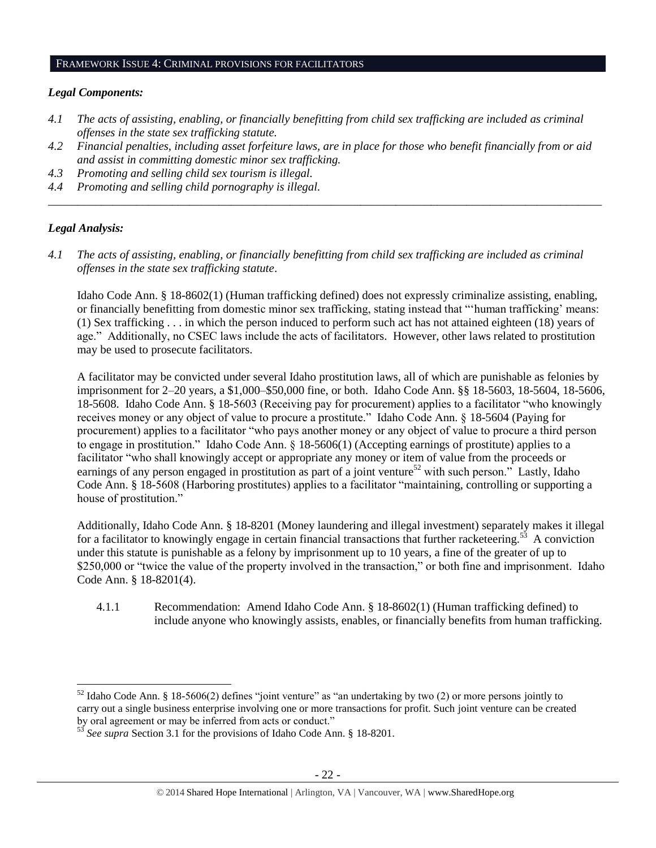#### FRAMEWORK ISSUE 4: CRIMINAL PROVISIONS FOR FACILITATORS

#### *Legal Components:*

- *4.1 The acts of assisting, enabling, or financially benefitting from child sex trafficking are included as criminal offenses in the state sex trafficking statute.*
- *4.2 Financial penalties, including asset forfeiture laws, are in place for those who benefit financially from or aid and assist in committing domestic minor sex trafficking.*

*\_\_\_\_\_\_\_\_\_\_\_\_\_\_\_\_\_\_\_\_\_\_\_\_\_\_\_\_\_\_\_\_\_\_\_\_\_\_\_\_\_\_\_\_\_\_\_\_\_\_\_\_\_\_\_\_\_\_\_\_\_\_\_\_\_\_\_\_\_\_\_\_\_\_\_\_\_\_\_\_\_\_\_\_\_\_\_\_\_\_\_\_\_\_*

- *4.3 Promoting and selling child sex tourism is illegal.*
- *4.4 Promoting and selling child pornography is illegal.*

#### *Legal Analysis:*

 $\overline{a}$ 

*4.1 The acts of assisting, enabling, or financially benefitting from child sex trafficking are included as criminal offenses in the state sex trafficking statute*.

Idaho Code Ann. § 18-8602(1) (Human trafficking defined) does not expressly criminalize assisting, enabling, or financially benefitting from domestic minor sex trafficking, stating instead that "'human trafficking' means: (1) Sex trafficking . . . in which the person induced to perform such act has not attained eighteen (18) years of age." Additionally, no CSEC laws include the acts of facilitators. However, other laws related to prostitution may be used to prosecute facilitators.

A facilitator may be convicted under several Idaho prostitution laws, all of which are punishable as felonies by imprisonment for 2–20 years, a \$1,000–\$50,000 fine, or both. Idaho Code Ann. §§ 18-5603, 18-5604, 18-5606, 18-5608. Idaho Code Ann. § 18-5603 (Receiving pay for procurement) applies to a facilitator "who knowingly receives money or any object of value to procure a prostitute." Idaho Code Ann. § 18-5604 (Paying for procurement) applies to a facilitator "who pays another money or any object of value to procure a third person to engage in prostitution." Idaho Code Ann. § 18-5606(1) (Accepting earnings of prostitute) applies to a facilitator "who shall knowingly accept or appropriate any money or item of value from the proceeds or earnings of any person engaged in prostitution as part of a joint venture<sup>52</sup> with such person." Lastly, Idaho Code Ann. § 18-5608 (Harboring prostitutes) applies to a facilitator "maintaining, controlling or supporting a house of prostitution."

Additionally, Idaho Code Ann. § 18-8201 (Money laundering and illegal investment) separately makes it illegal for a facilitator to knowingly engage in certain financial transactions that further racketeering.<sup>53</sup> A conviction under this statute is punishable as a felony by imprisonment up to 10 years, a fine of the greater of up to \$250,000 or "twice the value of the property involved in the transaction," or both fine and imprisonment. Idaho Code Ann. § 18-8201(4).

4.1.1 Recommendation: Amend Idaho Code Ann. § 18-8602(1) (Human trafficking defined) to include anyone who knowingly assists, enables, or financially benefits from human trafficking.

 $52$  Idaho Code Ann. § 18-5606(2) defines "joint venture" as "an undertaking by two (2) or more persons jointly to carry out a single business enterprise involving one or more transactions for profit. Such joint venture can be created by oral agreement or may be inferred from acts or conduct."

<sup>53</sup> *See supra* Section 3.1 for the provisions of Idaho Code Ann. § 18-8201.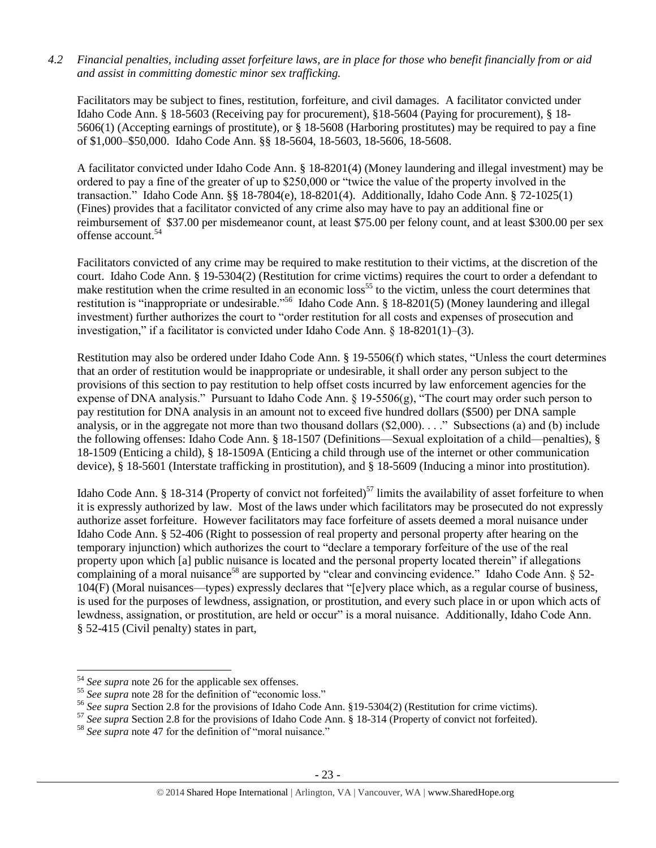## *4.2 Financial penalties, including asset forfeiture laws, are in place for those who benefit financially from or aid and assist in committing domestic minor sex trafficking.*

Facilitators may be subject to fines, restitution, forfeiture, and civil damages. A facilitator convicted under Idaho Code Ann. § 18-5603 (Receiving pay for procurement), §18-5604 (Paying for procurement), § 18- 5606(1) (Accepting earnings of prostitute), or § 18-5608 (Harboring prostitutes) may be required to pay a fine of \$1,000–\$50,000. Idaho Code Ann. §§ 18-5604, 18-5603, 18-5606, 18-5608.

A facilitator convicted under Idaho Code Ann. § 18-8201(4) (Money laundering and illegal investment) may be ordered to pay a fine of the greater of up to \$250,000 or "twice the value of the property involved in the transaction." Idaho Code Ann. §§ 18-7804(e), 18-8201(4). Additionally, Idaho Code Ann. § 72-1025(1) (Fines) provides that a facilitator convicted of any crime also may have to pay an additional fine or reimbursement of \$37.00 per misdemeanor count, at least \$75.00 per felony count, and at least \$300.00 per sex offense account.<sup>54</sup>

Facilitators convicted of any crime may be required to make restitution to their victims, at the discretion of the court. Idaho Code Ann. § 19-5304(2) (Restitution for crime victims) requires the court to order a defendant to make restitution when the crime resulted in an economic loss<sup>55</sup> to the victim, unless the court determines that restitution is "inappropriate or undesirable."<sup>56</sup> Idaho Code Ann. § 18-8201(5) (Money laundering and illegal investment) further authorizes the court to "order restitution for all costs and expenses of prosecution and investigation," if a facilitator is convicted under Idaho Code Ann.  $\S$  18-8201(1)–(3).

Restitution may also be ordered under Idaho Code Ann. § 19-5506(f) which states, "Unless the court determines that an order of restitution would be inappropriate or undesirable, it shall order any person subject to the provisions of this section to pay restitution to help offset costs incurred by law enforcement agencies for the expense of DNA analysis." Pursuant to Idaho Code Ann. § 19-5506(g), "The court may order such person to pay restitution for DNA analysis in an amount not to exceed five hundred dollars (\$500) per DNA sample analysis, or in the aggregate not more than two thousand dollars (\$2,000). . . ." Subsections (a) and (b) include the following offenses: Idaho Code Ann. § 18-1507 (Definitions—Sexual exploitation of a child—penalties), § 18-1509 (Enticing a child), § 18-1509A (Enticing a child through use of the internet or other communication device), § 18-5601 (Interstate trafficking in prostitution), and § 18-5609 (Inducing a minor into prostitution).

Idaho Code Ann. § 18-314 (Property of convict not forfeited)<sup>57</sup> limits the availability of asset forfeiture to when it is expressly authorized by law. Most of the laws under which facilitators may be prosecuted do not expressly authorize asset forfeiture. However facilitators may face forfeiture of assets deemed a moral nuisance under Idaho Code Ann. § 52-406 (Right to possession of real property and personal property after hearing on the temporary injunction) which authorizes the court to "declare a temporary forfeiture of the use of the real property upon which [a] public nuisance is located and the personal property located therein" if allegations complaining of a moral nuisance<sup>58</sup> are supported by "clear and convincing evidence." Idaho Code Ann.  $\S$  52-104(F) (Moral nuisances—types) expressly declares that "[e]very place which, as a regular course of business, is used for the purposes of lewdness, assignation, or prostitution, and every such place in or upon which acts of lewdness, assignation, or prostitution, are held or occur" is a moral nuisance. Additionally, Idaho Code Ann. § 52-415 (Civil penalty) states in part,

 $\overline{\phantom{a}}$ 

<sup>54</sup> *See supra* note [26](#page-10-0) for the applicable sex offenses.

<sup>&</sup>lt;sup>55</sup> See supra note [28](#page-11-0) for the definition of "economic loss."

<sup>56</sup> *See supra* Section 2.8 for the provisions of Idaho Code Ann. §19-5304(2) (Restitution for crime victims).

<sup>&</sup>lt;sup>57</sup> See supra Section 2.8 for the provisions of Idaho Code Ann. § 18-314 (Property of convict not forfeited).

<sup>&</sup>lt;sup>58</sup> See supra note [47](#page-18-0) for the definition of "moral nuisance."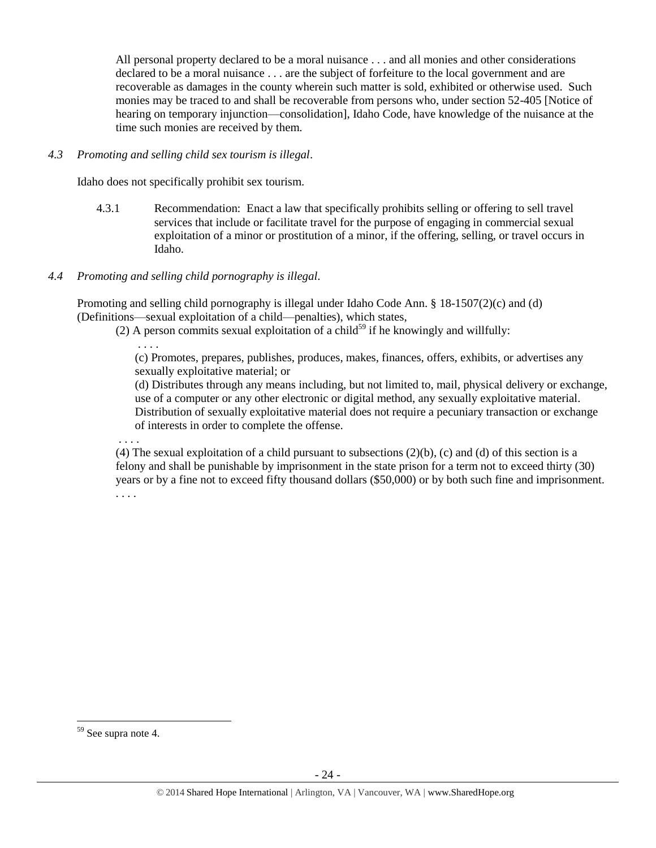All personal property declared to be a moral nuisance . . . and all monies and other considerations declared to be a moral nuisance . . . are the subject of forfeiture to the local government and are recoverable as damages in the county wherein such matter is sold, exhibited or otherwise used. Such monies may be traced to and shall be recoverable from persons who, under section 52-405 [Notice of hearing on temporary injunction—consolidation], Idaho Code, have knowledge of the nuisance at the time such monies are received by them.

## *4.3 Promoting and selling child sex tourism is illegal*.

Idaho does not specifically prohibit sex tourism.

4.3.1 Recommendation: Enact a law that specifically prohibits selling or offering to sell travel services that include or facilitate travel for the purpose of engaging in commercial sexual exploitation of a minor or prostitution of a minor, if the offering, selling, or travel occurs in Idaho.

## *4.4 Promoting and selling child pornography is illegal*.

Promoting and selling child pornography is illegal under Idaho Code Ann. § 18-1507(2)(c) and (d) (Definitions—sexual exploitation of a child—penalties), which states,

(2) A person commits sexual exploitation of a child<sup>59</sup> if he knowingly and willfully:

(c) Promotes, prepares, publishes, produces, makes, finances, offers, exhibits, or advertises any sexually exploitative material; or

(d) Distributes through any means including, but not limited to, mail, physical delivery or exchange, use of a computer or any other electronic or digital method, any sexually exploitative material. Distribution of sexually exploitative material does not require a pecuniary transaction or exchange of interests in order to complete the offense.

. . . .

. . . .

(4) The sexual exploitation of a child pursuant to subsections  $(2)(b)$ , (c) and (d) of this section is a felony and shall be punishable by imprisonment in the state prison for a term not to exceed thirty (30) years or by a fine not to exceed fifty thousand dollars (\$50,000) or by both such fine and imprisonment. . . . .

 $\overline{\phantom{a}}$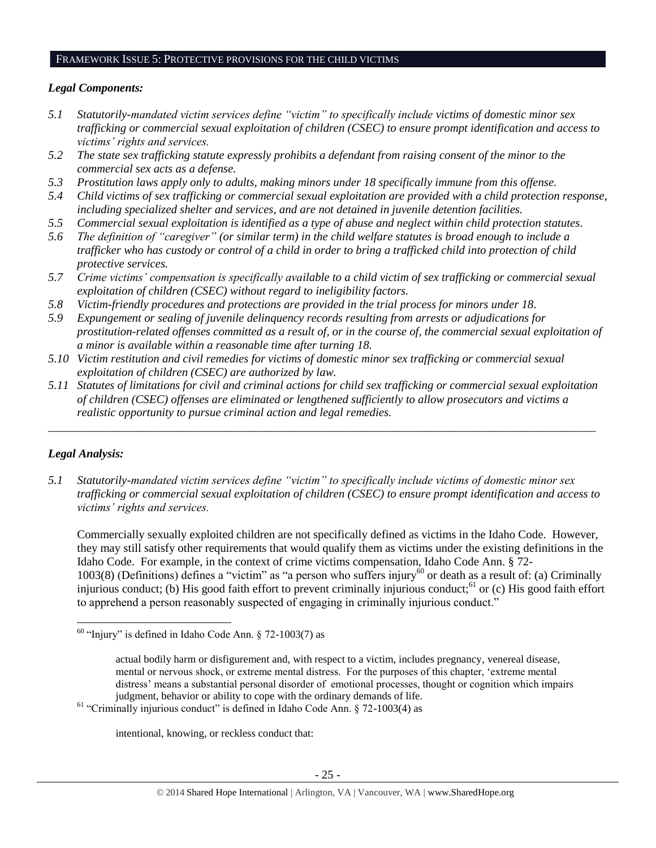#### FRAMEWORK ISSUE 5: PROTECTIVE PROVISIONS FOR THE CHILD VICTIMS

## *Legal Components:*

- *5.1 Statutorily-mandated victim services define "victim" to specifically include victims of domestic minor sex trafficking or commercial sexual exploitation of children (CSEC) to ensure prompt identification and access to victims' rights and services.*
- *5.2 The state sex trafficking statute expressly prohibits a defendant from raising consent of the minor to the commercial sex acts as a defense.*
- *5.3 Prostitution laws apply only to adults, making minors under 18 specifically immune from this offense.*
- *5.4 Child victims of sex trafficking or commercial sexual exploitation are provided with a child protection response, including specialized shelter and services, and are not detained in juvenile detention facilities.*
- *5.5 Commercial sexual exploitation is identified as a type of abuse and neglect within child protection statutes.*
- *5.6 The definition of "caregiver" (or similar term) in the child welfare statutes is broad enough to include a trafficker who has custody or control of a child in order to bring a trafficked child into protection of child protective services.*
- *5.7 Crime victims' compensation is specifically available to a child victim of sex trafficking or commercial sexual exploitation of children (CSEC) without regard to ineligibility factors.*
- *5.8 Victim-friendly procedures and protections are provided in the trial process for minors under 18.*
- *5.9 Expungement or sealing of juvenile delinquency records resulting from arrests or adjudications for prostitution-related offenses committed as a result of, or in the course of, the commercial sexual exploitation of a minor is available within a reasonable time after turning 18.*
- *5.10 Victim restitution and civil remedies for victims of domestic minor sex trafficking or commercial sexual exploitation of children (CSEC) are authorized by law.*
- *5.11 Statutes of limitations for civil and criminal actions for child sex trafficking or commercial sexual exploitation of children (CSEC) offenses are eliminated or lengthened sufficiently to allow prosecutors and victims a realistic opportunity to pursue criminal action and legal remedies.*

*\_\_\_\_\_\_\_\_\_\_\_\_\_\_\_\_\_\_\_\_\_\_\_\_\_\_\_\_\_\_\_\_\_\_\_\_\_\_\_\_\_\_\_\_\_\_\_\_\_\_\_\_\_\_\_\_\_\_\_\_\_\_\_\_\_\_\_\_\_\_\_\_\_\_\_\_\_\_\_\_\_\_\_\_\_\_\_\_\_\_\_\_\_*

# *Legal Analysis:*

l

*5.1 Statutorily-mandated victim services define "victim" to specifically include victims of domestic minor sex trafficking or commercial sexual exploitation of children (CSEC) to ensure prompt identification and access to victims' rights and services.*

Commercially sexually exploited children are not specifically defined as victims in the Idaho Code. However, they may still satisfy other requirements that would qualify them as victims under the existing definitions in the Idaho Code. For example, in the context of crime victims compensation, Idaho Code Ann. § 72- 1003(8) (Definitions) defines a "victim" as "a person who suffers injury<sup>60</sup> or death as a result of: (a) Criminally injurious conduct; (b) His good faith effort to prevent criminally injurious conduct; $61$  or (c) His good faith effort to apprehend a person reasonably suspected of engaging in criminally injurious conduct."

intentional, knowing, or reckless conduct that:

 $60$  "Injury" is defined in Idaho Code Ann. § 72-1003(7) as

actual bodily harm or disfigurement and, with respect to a victim, includes pregnancy, venereal disease, mental or nervous shock, or extreme mental distress. For the purposes of this chapter, 'extreme mental distress' means a substantial personal disorder of emotional processes, thought or cognition which impairs judgment, behavior or ability to cope with the ordinary demands of life.

 $61$  "Criminally injurious conduct" is defined in Idaho Code Ann. § 72-1003(4) as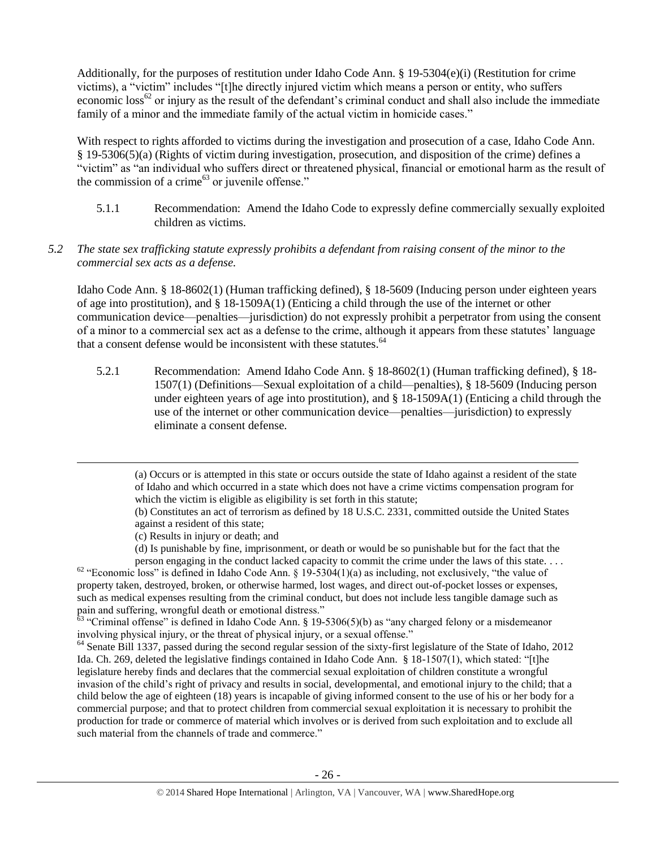Additionally, for the purposes of restitution under Idaho Code Ann.  $\S$  19-5304(e)(i) (Restitution for crime victims), a "victim" includes "[t]he directly injured victim which means a person or entity, who suffers economic loss<sup>62</sup> or injury as the result of the defendant's criminal conduct and shall also include the immediate family of a minor and the immediate family of the actual victim in homicide cases."

With respect to rights afforded to victims during the investigation and prosecution of a case, Idaho Code Ann. § 19-5306(5)(a) (Rights of victim during investigation, prosecution, and disposition of the crime) defines a "victim" as "an individual who suffers direct or threatened physical, financial or emotional harm as the result of the commission of a crime $^{63}$  or juvenile offense."

- 5.1.1 Recommendation: Amend the Idaho Code to expressly define commercially sexually exploited children as victims.
- *5.2 The state sex trafficking statute expressly prohibits a defendant from raising consent of the minor to the commercial sex acts as a defense.*

Idaho Code Ann. § 18-8602(1) (Human trafficking defined), § 18-5609 (Inducing person under eighteen years of age into prostitution), and § 18-1509A(1) (Enticing a child through the use of the internet or other communication device—penalties—jurisdiction) do not expressly prohibit a perpetrator from using the consent of a minor to a commercial sex act as a defense to the crime, although it appears from these statutes' language that a consent defense would be inconsistent with these statutes. $64$ 

5.2.1 Recommendation: Amend Idaho Code Ann. § 18-8602(1) (Human trafficking defined), § 18- 1507(1) (Definitions—Sexual exploitation of a child—penalties), § 18-5609 (Inducing person under eighteen years of age into prostitution), and § 18-1509A(1) (Enticing a child through the use of the internet or other communication device—penalties—jurisdiction) to expressly eliminate a consent defense.

 $\overline{\phantom{a}}$ 

 $62$  "Economic loss" is defined in Idaho Code Ann. § 19-5304(1)(a) as including, not exclusively, "the value of property taken, destroyed, broken, or otherwise harmed, lost wages, and direct out-of-pocket losses or expenses, such as medical expenses resulting from the criminal conduct, but does not include less tangible damage such as pain and suffering, wrongful death or emotional distress."

 $63$  "Criminal offense" is defined in Idaho Code Ann. § 19-5306(5)(b) as "any charged felony or a misdemeanor involving physical injury, or the threat of physical injury, or a sexual offense."

<sup>64</sup> Senate Bill 1337, passed during the second regular session of the sixty-first legislature of the State of Idaho, 2012 Ida. Ch. 269, deleted the legislative findings contained in Idaho Code Ann. § 18-1507(1), which stated: "[t]he legislature hereby finds and declares that the commercial sexual exploitation of children constitute a wrongful invasion of the child's right of privacy and results in social, developmental, and emotional injury to the child; that a child below the age of eighteen (18) years is incapable of giving informed consent to the use of his or her body for a commercial purpose; and that to protect children from commercial sexual exploitation it is necessary to prohibit the production for trade or commerce of material which involves or is derived from such exploitation and to exclude all such material from the channels of trade and commerce."

<sup>(</sup>a) Occurs or is attempted in this state or occurs outside the state of Idaho against a resident of the state of Idaho and which occurred in a state which does not have a crime victims compensation program for which the victim is eligible as eligibility is set forth in this statute;

<sup>(</sup>b) Constitutes an act of terrorism as defined by 18 U.S.C. 2331, committed outside the United States against a resident of this state;

<sup>(</sup>c) Results in injury or death; and

<sup>(</sup>d) Is punishable by fine, imprisonment, or death or would be so punishable but for the fact that the person engaging in the conduct lacked capacity to commit the crime under the laws of this state. . . .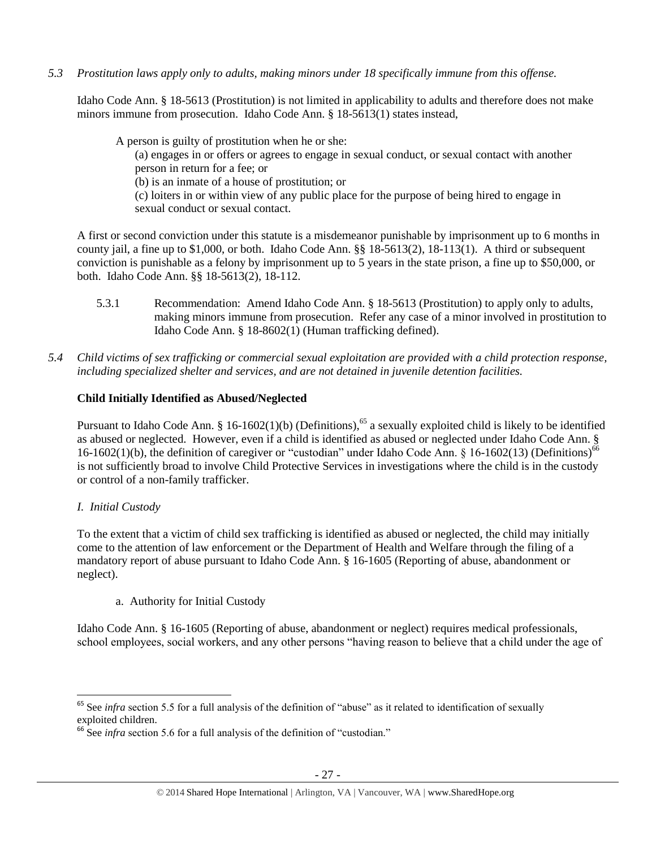*5.3 Prostitution laws apply only to adults, making minors under 18 specifically immune from this offense.*

Idaho Code Ann. § 18-5613 (Prostitution) is not limited in applicability to adults and therefore does not make minors immune from prosecution. Idaho Code Ann. § 18-5613(1) states instead,

A person is guilty of prostitution when he or she: (a) engages in or offers or agrees to engage in sexual conduct, or sexual contact with another person in return for a fee; or (b) is an inmate of a house of prostitution; or (c) loiters in or within view of any public place for the purpose of being hired to engage in sexual conduct or sexual contact.

A first or second conviction under this statute is a misdemeanor punishable by imprisonment up to 6 months in county jail, a fine up to \$1,000, or both. Idaho Code Ann. §§ 18-5613(2), 18-113(1). A third or subsequent conviction is punishable as a felony by imprisonment up to 5 years in the state prison, a fine up to \$50,000, or both. Idaho Code Ann. §§ 18-5613(2), 18-112.

- 5.3.1 Recommendation: Amend Idaho Code Ann. § 18-5613 (Prostitution) to apply only to adults, making minors immune from prosecution. Refer any case of a minor involved in prostitution to Idaho Code Ann. § 18-8602(1) (Human trafficking defined).
- *5.4 Child victims of sex trafficking or commercial sexual exploitation are provided with a child protection response, including specialized shelter and services, and are not detained in juvenile detention facilities.*

# **Child Initially Identified as Abused/Neglected**

Pursuant to Idaho Code Ann. § 16-1602(1)(b) (Definitions),<sup>65</sup> a sexually exploited child is likely to be identified as abused or neglected. However, even if a child is identified as abused or neglected under Idaho Code Ann. § 16-1602(1)(b), the definition of caregiver or "custodian" under Idaho Code Ann. § 16-1602(13) (Definitions)<sup>66</sup> is not sufficiently broad to involve Child Protective Services in investigations where the child is in the custody or control of a non-family trafficker.

# *I. Initial Custody*

To the extent that a victim of child sex trafficking is identified as abused or neglected, the child may initially come to the attention of law enforcement or the Department of Health and Welfare through the filing of a mandatory report of abuse pursuant to Idaho Code Ann. § 16-1605 (Reporting of abuse, abandonment or neglect).

# a. Authority for Initial Custody

Idaho Code Ann. § 16-1605 (Reporting of abuse, abandonment or neglect) requires medical professionals, school employees, social workers, and any other persons "having reason to believe that a child under the age of

 $\overline{\phantom{a}}$ <sup>65</sup> See *infra* section 5.5 for a full analysis of the definition of "abuse" as it related to identification of sexually exploited children.

<sup>&</sup>lt;sup>66</sup> See *infra* section 5.6 for a full analysis of the definition of "custodian."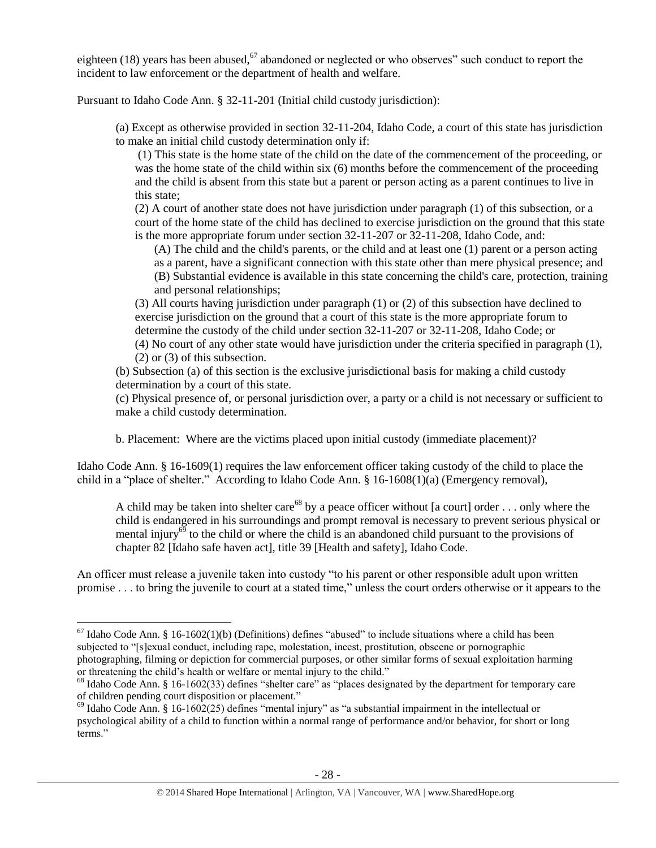eighteen (18) years has been abused,<sup>67</sup> abandoned or neglected or who observes" such conduct to report the incident to law enforcement or the department of health and welfare.

Pursuant to Idaho Code Ann. § 32-11-201 (Initial child custody jurisdiction):

(a) Except as otherwise provided in section 32-11-204, Idaho Code, a court of this state has jurisdiction to make an initial child custody determination only if:

(1) This state is the home state of the child on the date of the commencement of the proceeding, or was the home state of the child within six (6) months before the commencement of the proceeding and the child is absent from this state but a parent or person acting as a parent continues to live in this state;

(2) A court of another state does not have jurisdiction under paragraph (1) of this subsection, or a court of the home state of the child has declined to exercise jurisdiction on the ground that this state is the more appropriate forum under section 32-11-207 or 32-11-208, Idaho Code, and:

(A) The child and the child's parents, or the child and at least one (1) parent or a person acting as a parent, have a significant connection with this state other than mere physical presence; and (B) Substantial evidence is available in this state concerning the child's care, protection, training and personal relationships;

(3) All courts having jurisdiction under paragraph (1) or (2) of this subsection have declined to exercise jurisdiction on the ground that a court of this state is the more appropriate forum to determine the custody of the child under section 32-11-207 or 32-11-208, Idaho Code; or (4) No court of any other state would have jurisdiction under the criteria specified in paragraph (1), (2) or (3) of this subsection.

(b) Subsection (a) of this section is the exclusive jurisdictional basis for making a child custody determination by a court of this state.

(c) Physical presence of, or personal jurisdiction over, a party or a child is not necessary or sufficient to make a child custody determination.

b. Placement: Where are the victims placed upon initial custody (immediate placement)?

Idaho Code Ann. § 16-1609(1) requires the law enforcement officer taking custody of the child to place the child in a "place of shelter." According to Idaho Code Ann. § 16-1608(1)(a) (Emergency removal),

<span id="page-27-0"></span>A child may be taken into shelter care<sup>68</sup> by a peace officer without [a court] order . . . only where the child is endangered in his surroundings and prompt removal is necessary to prevent serious physical or mental injury<sup>69</sup> to the child or where the child is an abandoned child pursuant to the provisions of chapter 82 [Idaho safe haven act], title 39 [Health and safety], Idaho Code.

An officer must release a juvenile taken into custody "to his parent or other responsible adult upon written promise . . . to bring the juvenile to court at a stated time," unless the court orders otherwise or it appears to the

l

 $67$  Idaho Code Ann. § 16-1602(1)(b) (Definitions) defines "abused" to include situations where a child has been subjected to "[s]exual conduct, including rape, molestation, incest, prostitution, obscene or pornographic photographing, filming or depiction for commercial purposes, or other similar forms of sexual exploitation harming or threatening the child's health or welfare or mental injury to the child."

<sup>&</sup>lt;sup>68</sup> Idaho Code Ann. § 16-1602(33) defines "shelter care" as "places designated by the department for temporary care of children pending court disposition or placement."

 $^{69}$  Idaho Code Ann. § 16-1602(25) defines "mental injury" as "a substantial impairment in the intellectual or psychological ability of a child to function within a normal range of performance and/or behavior, for short or long terms."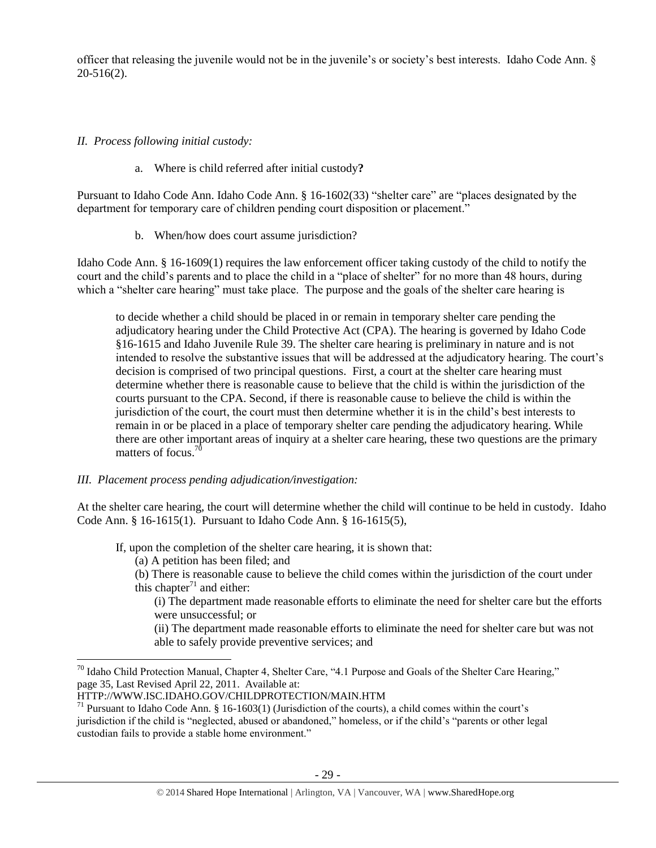officer that releasing the juvenile would not be in the juvenile's or society's best interests. Idaho Code Ann. § 20-516(2).

# *II. Process following initial custody:*

a. Where is child referred after initial custody**?**

Pursuant to Idaho Code Ann. Idaho Code Ann. § 16-1602(33) "shelter care" are "places designated by the department for temporary care of children pending court disposition or placement."

b. When/how does court assume jurisdiction?

Idaho Code Ann. § 16-1609(1) requires the law enforcement officer taking custody of the child to notify the court and the child's parents and to place the child in a "place of shelter" for no more than 48 hours, during which a "shelter care hearing" must take place. The purpose and the goals of the shelter care hearing is

to decide whether a child should be placed in or remain in temporary shelter care pending the adjudicatory hearing under the Child Protective Act (CPA). The hearing is governed by Idaho Code §16-1615 and Idaho Juvenile Rule 39. The shelter care hearing is preliminary in nature and is not intended to resolve the substantive issues that will be addressed at the adjudicatory hearing. The court's decision is comprised of two principal questions. First, a court at the shelter care hearing must determine whether there is reasonable cause to believe that the child is within the jurisdiction of the courts pursuant to the CPA. Second, if there is reasonable cause to believe the child is within the jurisdiction of the court, the court must then determine whether it is in the child's best interests to remain in or be placed in a place of temporary shelter care pending the adjudicatory hearing. While there are other important areas of inquiry at a shelter care hearing, these two questions are the primary matters of focus.<sup>70</sup>

# *III. Placement process pending adjudication/investigation:*

At the shelter care hearing, the court will determine whether the child will continue to be held in custody. Idaho Code Ann. § 16-1615(1). Pursuant to Idaho Code Ann. § 16-1615(5),

If, upon the completion of the shelter care hearing, it is shown that:

(a) A petition has been filed; and

 $\overline{\phantom{a}}$ 

(b) There is reasonable cause to believe the child comes within the jurisdiction of the court under this chapter<sup>71</sup> and either:

<span id="page-28-0"></span>(i) The department made reasonable efforts to eliminate the need for shelter care but the efforts were unsuccessful; or

(ii) The department made reasonable efforts to eliminate the need for shelter care but was not able to safely provide preventive services; and

 $70$  Idaho Child Protection Manual, Chapter 4, Shelter Care, "4.1 Purpose and Goals of the Shelter Care Hearing," page 35, Last Revised April 22, 2011. Available at:

HTTP://WWW.ISC.IDAHO.GOV/CHILDPROTECTION/MAIN.HTM

<sup>&</sup>lt;sup>71</sup> Pursuant to Idaho Code Ann. § 16-1603(1) (Jurisdiction of the courts), a child comes within the court's jurisdiction if the child is "neglected, abused or abandoned," homeless, or if the child's "parents or other legal custodian fails to provide a stable home environment."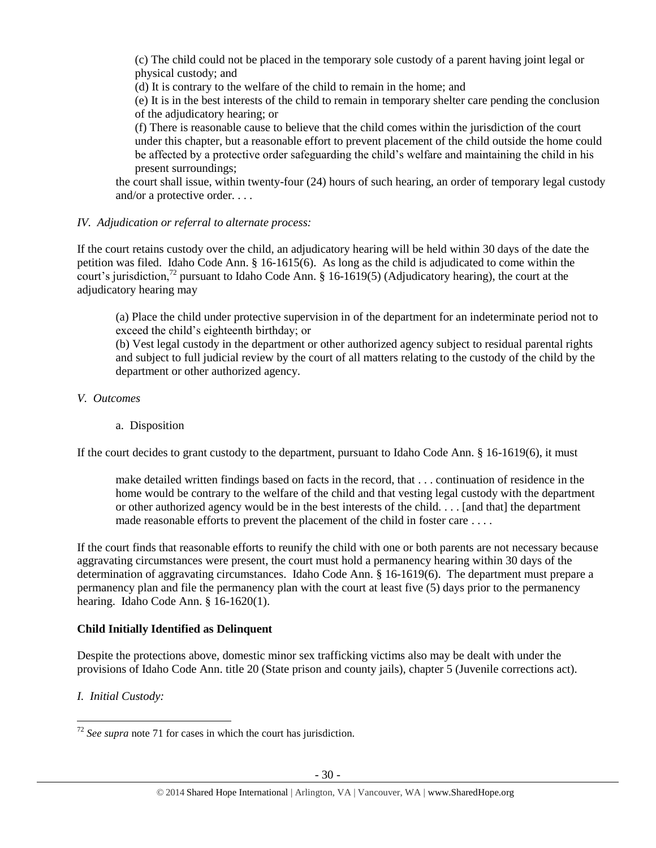(c) The child could not be placed in the temporary sole custody of a parent having joint legal or physical custody; and

(d) It is contrary to the welfare of the child to remain in the home; and

(e) It is in the best interests of the child to remain in temporary shelter care pending the conclusion of the adjudicatory hearing; or

(f) There is reasonable cause to believe that the child comes within the jurisdiction of the court under this chapter, but a reasonable effort to prevent placement of the child outside the home could be affected by a protective order safeguarding the child's welfare and maintaining the child in his present surroundings;

the court shall issue, within twenty-four (24) hours of such hearing, an order of temporary legal custody and/or a protective order. . . .

#### *IV. Adjudication or referral to alternate process:*

If the court retains custody over the child, an adjudicatory hearing will be held within 30 days of the date the petition was filed. Idaho Code Ann. § 16-1615(6). As long as the child is adjudicated to come within the court's jurisdiction,<sup>72</sup> pursuant to Idaho Code Ann. § 16-1619(5) (Adjudicatory hearing), the court at the adjudicatory hearing may

(a) Place the child under protective supervision in of the department for an indeterminate period not to exceed the child's eighteenth birthday; or

(b) Vest legal custody in the department or other authorized agency subject to residual parental rights and subject to full judicial review by the court of all matters relating to the custody of the child by the department or other authorized agency.

- *V. Outcomes*
	- a. Disposition

If the court decides to grant custody to the department, pursuant to Idaho Code Ann. § 16-1619(6), it must

make detailed written findings based on facts in the record, that . . . continuation of residence in the home would be contrary to the welfare of the child and that vesting legal custody with the department or other authorized agency would be in the best interests of the child. . . . [and that] the department made reasonable efforts to prevent the placement of the child in foster care ....

If the court finds that reasonable efforts to reunify the child with one or both parents are not necessary because aggravating circumstances were present, the court must hold a permanency hearing within 30 days of the determination of aggravating circumstances. Idaho Code Ann. § 16-1619(6). The department must prepare a permanency plan and file the permanency plan with the court at least five (5) days prior to the permanency hearing. Idaho Code Ann. § 16-1620(1).

#### **Child Initially Identified as Delinquent**

Despite the protections above, domestic minor sex trafficking victims also may be dealt with under the provisions of Idaho Code Ann. title 20 (State prison and county jails), chapter 5 (Juvenile corrections act).

*I. Initial Custody:*

 $\overline{\phantom{a}}$ <sup>72</sup> See supra note [71](#page-28-0) for cases in which the court has jurisdiction.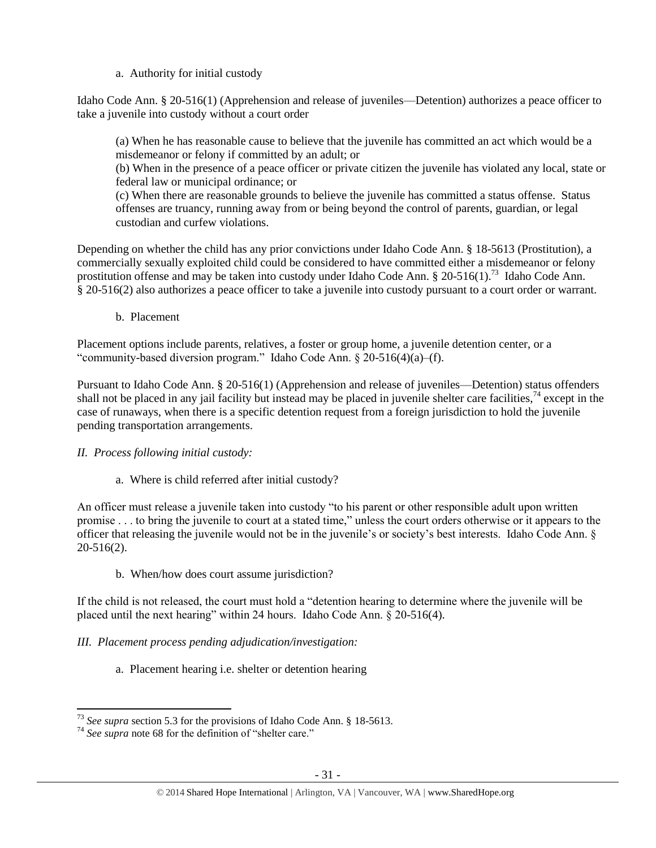a. Authority for initial custody

Idaho Code Ann. § 20-516(1) (Apprehension and release of juveniles—Detention) authorizes a peace officer to take a juvenile into custody without a court order

(a) When he has reasonable cause to believe that the juvenile has committed an act which would be a misdemeanor or felony if committed by an adult; or

(b) When in the presence of a peace officer or private citizen the juvenile has violated any local, state or federal law or municipal ordinance; or

(c) When there are reasonable grounds to believe the juvenile has committed a status offense. Status offenses are truancy, running away from or being beyond the control of parents, guardian, or legal custodian and curfew violations.

Depending on whether the child has any prior convictions under Idaho Code Ann. § 18-5613 (Prostitution), a commercially sexually exploited child could be considered to have committed either a misdemeanor or felony prostitution offense and may be taken into custody under Idaho Code Ann. § 20-516(1).<sup>73</sup> Idaho Code Ann. § 20-516(2) also authorizes a peace officer to take a juvenile into custody pursuant to a court order or warrant.

b. Placement

Placement options include parents, relatives, a foster or group home, a juvenile detention center, or a "community-based diversion program." Idaho Code Ann. § 20-516(4)(a)–(f).

Pursuant to Idaho Code Ann. § 20-516(1) (Apprehension and release of juveniles—Detention) status offenders shall not be placed in any jail facility but instead may be placed in juvenile shelter care facilities,  $^{74}$  except in the case of runaways, when there is a specific detention request from a foreign jurisdiction to hold the juvenile pending transportation arrangements.

*II. Process following initial custody:*

a. Where is child referred after initial custody?

An officer must release a juvenile taken into custody "to his parent or other responsible adult upon written promise . . . to bring the juvenile to court at a stated time," unless the court orders otherwise or it appears to the officer that releasing the juvenile would not be in the juvenile's or society's best interests. Idaho Code Ann. § 20-516(2).

b. When/how does court assume jurisdiction?

If the child is not released, the court must hold a "detention hearing to determine where the juvenile will be placed until the next hearing" within 24 hours. Idaho Code Ann. § 20-516(4).

- *III. Placement process pending adjudication/investigation:*
	- a. Placement hearing i.e. shelter or detention hearing

 $\overline{a}$ 

<sup>73</sup> *See supra* section 5.3 for the provisions of Idaho Code Ann. § 18-5613.

<sup>&</sup>lt;sup>74</sup> See supra note [68](#page-27-0) for the definition of "shelter care."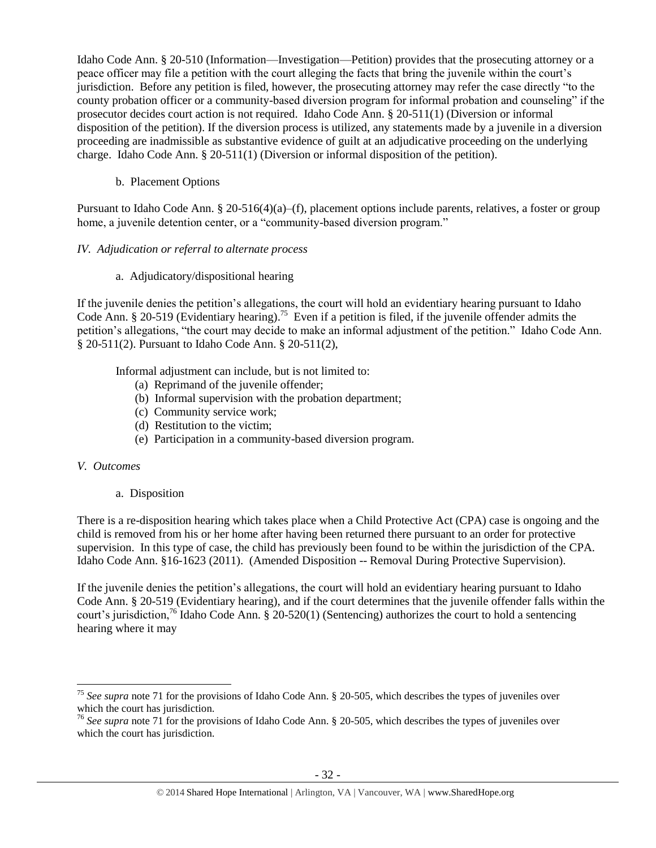Idaho Code Ann. § 20-510 (Information—Investigation—Petition) provides that the prosecuting attorney or a peace officer may file a petition with the court alleging the facts that bring the juvenile within the court's jurisdiction. Before any petition is filed, however, the prosecuting attorney may refer the case directly "to the county probation officer or a community-based diversion program for informal probation and counseling" if the prosecutor decides court action is not required. Idaho Code Ann. § 20-511(1) (Diversion or informal disposition of the petition). If the diversion process is utilized, any statements made by a juvenile in a diversion proceeding are inadmissible as substantive evidence of guilt at an adjudicative proceeding on the underlying charge. Idaho Code Ann. § 20-511(1) (Diversion or informal disposition of the petition).

#### b. Placement Options

Pursuant to Idaho Code Ann. § 20-516(4)(a)–(f), placement options include parents, relatives, a foster or group home, a juvenile detention center, or a "community-based diversion program."

## *IV. Adjudication or referral to alternate process*

## a. Adjudicatory/dispositional hearing

If the juvenile denies the petition's allegations, the court will hold an evidentiary hearing pursuant to Idaho Code Ann. § 20-519 (Evidentiary hearing).<sup>75</sup> Even if a petition is filed, if the juvenile offender admits the petition's allegations, "the court may decide to make an informal adjustment of the petition." Idaho Code Ann. § 20-511(2). Pursuant to Idaho Code Ann. § 20-511(2),

Informal adjustment can include, but is not limited to:

- (a) Reprimand of the juvenile offender;
- (b) Informal supervision with the probation department;
- (c) Community service work;
- (d) Restitution to the victim;
- (e) Participation in a community-based diversion program.

#### *V. Outcomes*

 $\overline{a}$ 

a. Disposition

There is a re-disposition hearing which takes place when a Child Protective Act (CPA) case is ongoing and the child is removed from his or her home after having been returned there pursuant to an order for protective supervision. In this type of case, the child has previously been found to be within the jurisdiction of the CPA. Idaho Code Ann. §16-1623 (2011). (Amended Disposition -- Removal During Protective Supervision).

If the juvenile denies the petition's allegations, the court will hold an evidentiary hearing pursuant to Idaho Code Ann. § 20-519 (Evidentiary hearing), and if the court determines that the juvenile offender falls within the court's jurisdiction,<sup>76</sup> Idaho Code Ann. § 20-520(1) (Sentencing) authorizes the court to hold a sentencing hearing where it may

<sup>75</sup> *See supra* note [71](#page-28-0) for the provisions of Idaho Code Ann. § 20-505, which describes the types of juveniles over which the court has jurisdiction.

<sup>&</sup>lt;sup>76</sup> See supra note [71](#page-28-0) for the provisions of Idaho Code Ann. § 20-505, which describes the types of juveniles over which the court has jurisdiction.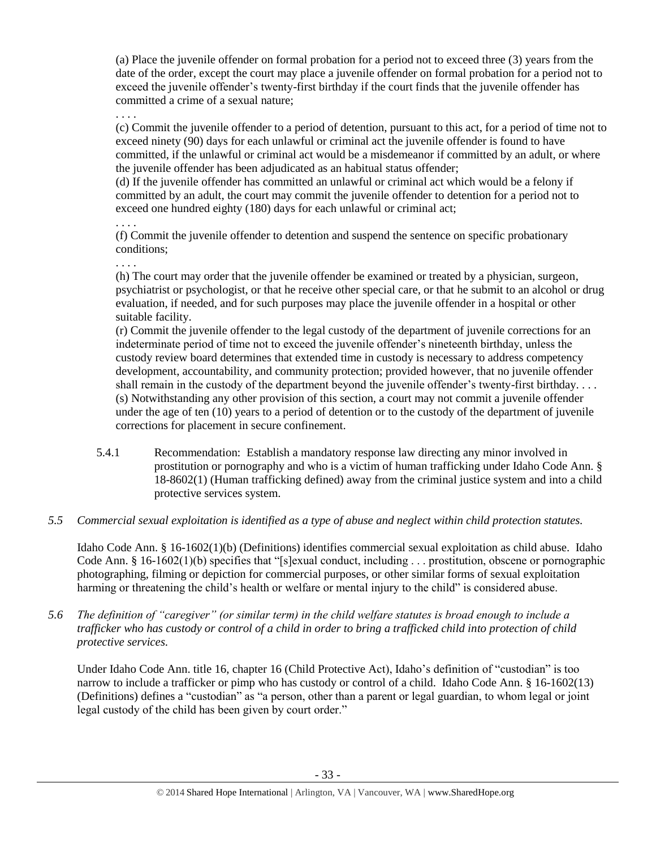(a) Place the juvenile offender on formal probation for a period not to exceed three (3) years from the date of the order, except the court may place a juvenile offender on formal probation for a period not to exceed the juvenile offender's twenty-first birthday if the court finds that the juvenile offender has committed a crime of a sexual nature;

. . . .

(c) Commit the juvenile offender to a period of detention, pursuant to this act, for a period of time not to exceed ninety (90) days for each unlawful or criminal act the juvenile offender is found to have committed, if the unlawful or criminal act would be a misdemeanor if committed by an adult, or where the juvenile offender has been adjudicated as an habitual status offender;

(d) If the juvenile offender has committed an unlawful or criminal act which would be a felony if committed by an adult, the court may commit the juvenile offender to detention for a period not to exceed one hundred eighty (180) days for each unlawful or criminal act;

. . . . (f) Commit the juvenile offender to detention and suspend the sentence on specific probationary conditions;

. . . .

(h) The court may order that the juvenile offender be examined or treated by a physician, surgeon, psychiatrist or psychologist, or that he receive other special care, or that he submit to an alcohol or drug evaluation, if needed, and for such purposes may place the juvenile offender in a hospital or other suitable facility.

(r) Commit the juvenile offender to the legal custody of the department of juvenile corrections for an indeterminate period of time not to exceed the juvenile offender's nineteenth birthday, unless the custody review board determines that extended time in custody is necessary to address competency development, accountability, and community protection; provided however, that no juvenile offender shall remain in the custody of the department beyond the juvenile offender's twenty-first birthday.... (s) Notwithstanding any other provision of this section, a court may not commit a juvenile offender under the age of ten (10) years to a period of detention or to the custody of the department of juvenile corrections for placement in secure confinement.

5.4.1 Recommendation: Establish a mandatory response law directing any minor involved in prostitution or pornography and who is a victim of human trafficking under Idaho Code Ann. § 18-8602(1) (Human trafficking defined) away from the criminal justice system and into a child protective services system.

# *5.5 Commercial sexual exploitation is identified as a type of abuse and neglect within child protection statutes.*

Idaho Code Ann. § 16-1602(1)(b) (Definitions) identifies commercial sexual exploitation as child abuse. Idaho Code Ann. § 16-1602(1)(b) specifies that "[s]exual conduct, including . . . prostitution, obscene or pornographic photographing, filming or depiction for commercial purposes, or other similar forms of sexual exploitation harming or threatening the child's health or welfare or mental injury to the child" is considered abuse.

*5.6 The definition of "caregiver" (or similar term) in the child welfare statutes is broad enough to include a trafficker who has custody or control of a child in order to bring a trafficked child into protection of child protective services.*

Under Idaho Code Ann. title 16, chapter 16 (Child Protective Act), Idaho's definition of "custodian" is too narrow to include a trafficker or pimp who has custody or control of a child. Idaho Code Ann. § 16-1602(13) (Definitions) defines a "custodian" as "a person, other than a parent or legal guardian, to whom legal or joint legal custody of the child has been given by court order."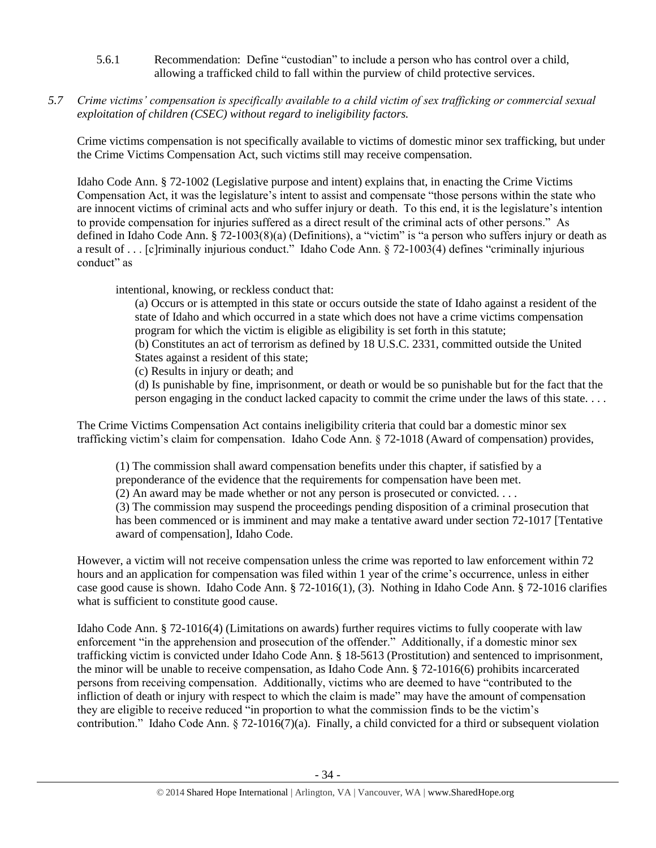- 5.6.1 Recommendation: Define "custodian" to include a person who has control over a child, allowing a trafficked child to fall within the purview of child protective services.
- *5.7 Crime victims' compensation is specifically available to a child victim of sex trafficking or commercial sexual exploitation of children (CSEC) without regard to ineligibility factors.*

Crime victims compensation is not specifically available to victims of domestic minor sex trafficking, but under the Crime Victims Compensation Act, such victims still may receive compensation.

Idaho Code Ann. § 72-1002 (Legislative purpose and intent) explains that, in enacting the Crime Victims Compensation Act, it was the legislature's intent to assist and compensate "those persons within the state who are innocent victims of criminal acts and who suffer injury or death. To this end, it is the legislature's intention to provide compensation for injuries suffered as a direct result of the criminal acts of other persons." As defined in Idaho Code Ann. § 72-1003(8)(a) (Definitions), a "victim" is "a person who suffers injury or death as a result of . . . [c]riminally injurious conduct." Idaho Code Ann. § 72-1003(4) defines "criminally injurious conduct" as

intentional, knowing, or reckless conduct that:

(a) Occurs or is attempted in this state or occurs outside the state of Idaho against a resident of the state of Idaho and which occurred in a state which does not have a crime victims compensation program for which the victim is eligible as eligibility is set forth in this statute;

(b) Constitutes an act of terrorism as defined by 18 U.S.C. 2331, committed outside the United States against a resident of this state;

(c) Results in injury or death; and

(d) Is punishable by fine, imprisonment, or death or would be so punishable but for the fact that the person engaging in the conduct lacked capacity to commit the crime under the laws of this state. . . .

The Crime Victims Compensation Act contains ineligibility criteria that could bar a domestic minor sex trafficking victim's claim for compensation. Idaho Code Ann. § 72-1018 (Award of compensation) provides,

(1) The commission shall award compensation benefits under this chapter, if satisfied by a preponderance of the evidence that the requirements for compensation have been met.

(2) An award may be made whether or not any person is prosecuted or convicted. . . .

(3) The commission may suspend the proceedings pending disposition of a criminal prosecution that has been commenced or is imminent and may make a tentative award under section 72-1017 [Tentative award of compensation], Idaho Code.

However, a victim will not receive compensation unless the crime was reported to law enforcement within 72 hours and an application for compensation was filed within 1 year of the crime's occurrence, unless in either case good cause is shown. Idaho Code Ann. § 72-1016(1), (3). Nothing in Idaho Code Ann. § 72-1016 clarifies what is sufficient to constitute good cause.

Idaho Code Ann. § 72-1016(4) (Limitations on awards) further requires victims to fully cooperate with law enforcement "in the apprehension and prosecution of the offender." Additionally, if a domestic minor sex trafficking victim is convicted under Idaho Code Ann. § 18-5613 (Prostitution) and sentenced to imprisonment, the minor will be unable to receive compensation, as Idaho Code Ann. § 72-1016(6) prohibits incarcerated persons from receiving compensation. Additionally, victims who are deemed to have "contributed to the infliction of death or injury with respect to which the claim is made" may have the amount of compensation they are eligible to receive reduced "in proportion to what the commission finds to be the victim's contribution." Idaho Code Ann. § 72-1016(7)(a). Finally, a child convicted for a third or subsequent violation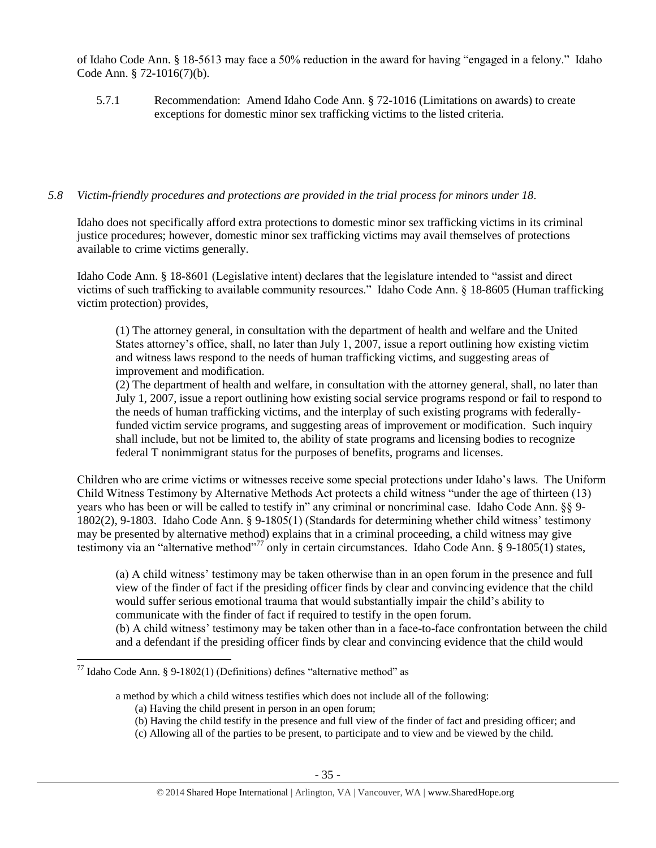of Idaho Code Ann. § 18-5613 may face a 50% reduction in the award for having "engaged in a felony." Idaho Code Ann. § 72-1016(7)(b).

5.7.1 Recommendation: Amend Idaho Code Ann. § 72-1016 (Limitations on awards) to create exceptions for domestic minor sex trafficking victims to the listed criteria.

# *5.8 Victim-friendly procedures and protections are provided in the trial process for minors under 18.*

Idaho does not specifically afford extra protections to domestic minor sex trafficking victims in its criminal justice procedures; however, domestic minor sex trafficking victims may avail themselves of protections available to crime victims generally.

Idaho Code Ann. § 18-8601 (Legislative intent) declares that the legislature intended to "assist and direct victims of such trafficking to available community resources." Idaho Code Ann. § 18-8605 (Human trafficking victim protection) provides,

(1) The attorney general, in consultation with the department of health and welfare and the United States attorney's office, shall, no later than July 1, 2007, issue a report outlining how existing victim and witness laws respond to the needs of human trafficking victims, and suggesting areas of improvement and modification.

(2) The department of health and welfare, in consultation with the attorney general, shall, no later than July 1, 2007, issue a report outlining how existing social service programs respond or fail to respond to the needs of human trafficking victims, and the interplay of such existing programs with federallyfunded victim service programs, and suggesting areas of improvement or modification. Such inquiry shall include, but not be limited to, the ability of state programs and licensing bodies to recognize federal T nonimmigrant status for the purposes of benefits, programs and licenses.

Children who are crime victims or witnesses receive some special protections under Idaho's laws. The Uniform Child Witness Testimony by Alternative Methods Act protects a child witness "under the age of thirteen (13) years who has been or will be called to testify in" any criminal or noncriminal case. Idaho Code Ann. §§ 9- 1802(2), 9-1803. Idaho Code Ann. § 9-1805(1) (Standards for determining whether child witness' testimony may be presented by alternative method) explains that in a criminal proceeding, a child witness may give testimony via an "alternative method"<sup>77</sup> only in certain circumstances. Idaho Code Ann. § 9-1805(1) states,

(a) A child witness' testimony may be taken otherwise than in an open forum in the presence and full view of the finder of fact if the presiding officer finds by clear and convincing evidence that the child would suffer serious emotional trauma that would substantially impair the child's ability to communicate with the finder of fact if required to testify in the open forum.

(b) A child witness' testimony may be taken other than in a face-to-face confrontation between the child and a defendant if the presiding officer finds by clear and convincing evidence that the child would

 $\overline{\phantom{a}}$ 

- (a) Having the child present in person in an open forum;
- (b) Having the child testify in the presence and full view of the finder of fact and presiding officer; and
- (c) Allowing all of the parties to be present, to participate and to view and be viewed by the child.

 $77$  Idaho Code Ann. § 9-1802(1) (Definitions) defines "alternative method" as

a method by which a child witness testifies which does not include all of the following: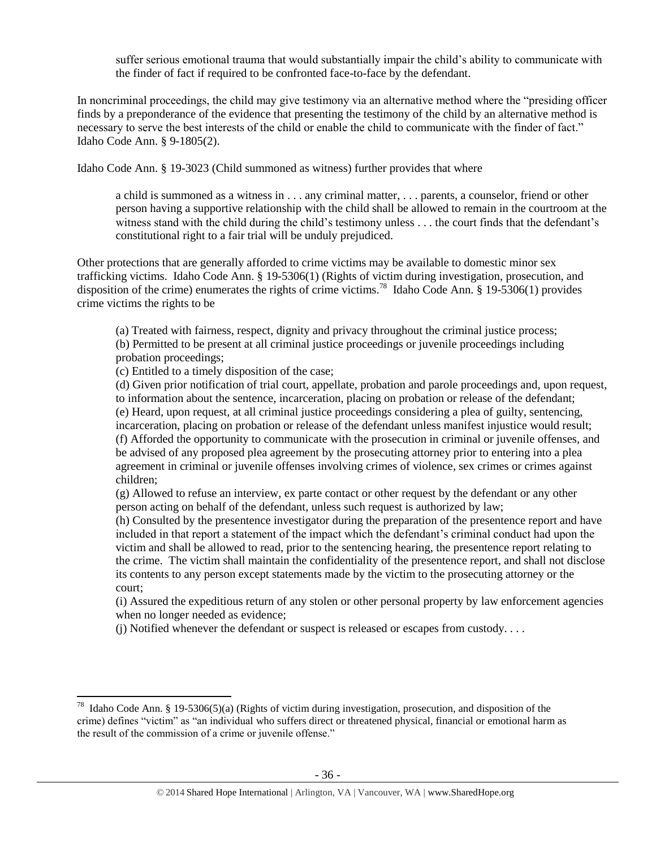suffer serious emotional trauma that would substantially impair the child's ability to communicate with the finder of fact if required to be confronted face-to-face by the defendant.

In noncriminal proceedings, the child may give testimony via an alternative method where the "presiding officer finds by a preponderance of the evidence that presenting the testimony of the child by an alternative method is necessary to serve the best interests of the child or enable the child to communicate with the finder of fact." Idaho Code Ann. § 9-1805(2).

Idaho Code Ann. § 19-3023 (Child summoned as witness) further provides that where

a child is summoned as a witness in . . . any criminal matter, . . . parents, a counselor, friend or other person having a supportive relationship with the child shall be allowed to remain in the courtroom at the witness stand with the child during the child's testimony unless . . . the court finds that the defendant's constitutional right to a fair trial will be unduly prejudiced.

Other protections that are generally afforded to crime victims may be available to domestic minor sex trafficking victims. Idaho Code Ann. § 19-5306(1) (Rights of victim during investigation, prosecution, and disposition of the crime) enumerates the rights of crime victims.<sup>78</sup> Idaho Code Ann. § 19-5306(1) provides crime victims the rights to be

(a) Treated with fairness, respect, dignity and privacy throughout the criminal justice process; (b) Permitted to be present at all criminal justice proceedings or juvenile proceedings including probation proceedings;

(c) Entitled to a timely disposition of the case;

l

(d) Given prior notification of trial court, appellate, probation and parole proceedings and, upon request, to information about the sentence, incarceration, placing on probation or release of the defendant; (e) Heard, upon request, at all criminal justice proceedings considering a plea of guilty, sentencing, incarceration, placing on probation or release of the defendant unless manifest injustice would result; (f) Afforded the opportunity to communicate with the prosecution in criminal or juvenile offenses, and be advised of any proposed plea agreement by the prosecuting attorney prior to entering into a plea agreement in criminal or juvenile offenses involving crimes of violence, sex crimes or crimes against children;

(g) Allowed to refuse an interview, ex parte contact or other request by the defendant or any other person acting on behalf of the defendant, unless such request is authorized by law;

(h) Consulted by the presentence investigator during the preparation of the presentence report and have included in that report a statement of the impact which the defendant's criminal conduct had upon the victim and shall be allowed to read, prior to the sentencing hearing, the presentence report relating to the crime. The victim shall maintain the confidentiality of the presentence report, and shall not disclose its contents to any person except statements made by the victim to the prosecuting attorney or the court;

(i) Assured the expeditious return of any stolen or other personal property by law enforcement agencies when no longer needed as evidence;

(j) Notified whenever the defendant or suspect is released or escapes from custody. . . .

<sup>78</sup> Idaho Code Ann. § 19-5306(5)(a) (Rights of victim during investigation, prosecution, and disposition of the crime) defines "victim" as "an individual who suffers direct or threatened physical, financial or emotional harm as the result of the commission of a crime or juvenile offense."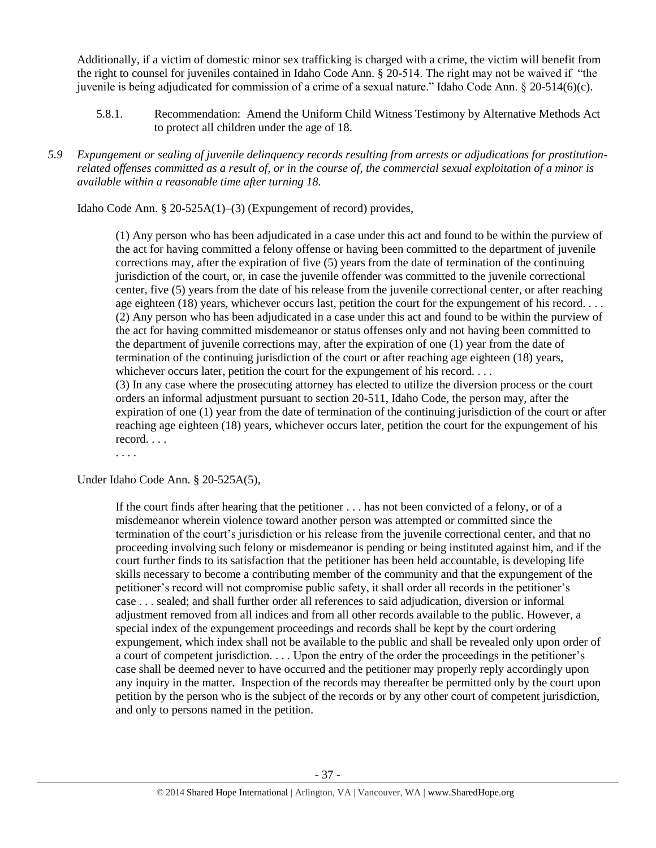Additionally, if a victim of domestic minor sex trafficking is charged with a crime, the victim will benefit from the right to counsel for juveniles contained in Idaho Code Ann. § 20-514. The right may not be waived if "the juvenile is being adjudicated for commission of a crime of a sexual nature." Idaho Code Ann. § 20-514(6)(c).

5.8.1. Recommendation: Amend the Uniform Child Witness Testimony by Alternative Methods Act to protect all children under the age of 18.

*5.9 Expungement or sealing of juvenile delinquency records resulting from arrests or adjudications for prostitutionrelated offenses committed as a result of, or in the course of, the commercial sexual exploitation of a minor is available within a reasonable time after turning 18.*

Idaho Code Ann. § 20-525A(1)–(3) (Expungement of record) provides,

(1) Any person who has been adjudicated in a case under this act and found to be within the purview of the act for having committed a felony offense or having been committed to the department of juvenile corrections may, after the expiration of five (5) years from the date of termination of the continuing jurisdiction of the court, or, in case the juvenile offender was committed to the juvenile correctional center, five (5) years from the date of his release from the juvenile correctional center, or after reaching age eighteen (18) years, whichever occurs last, petition the court for the expungement of his record. . . . (2) Any person who has been adjudicated in a case under this act and found to be within the purview of the act for having committed misdemeanor or status offenses only and not having been committed to the department of juvenile corrections may, after the expiration of one (1) year from the date of termination of the continuing jurisdiction of the court or after reaching age eighteen (18) years, whichever occurs later, petition the court for the expungement of his record. . . .

(3) In any case where the prosecuting attorney has elected to utilize the diversion process or the court orders an informal adjustment pursuant to section 20-511, Idaho Code, the person may, after the expiration of one (1) year from the date of termination of the continuing jurisdiction of the court or after reaching age eighteen (18) years, whichever occurs later, petition the court for the expungement of his record. . . .

. . . .

Under Idaho Code Ann. § 20-525A(5),

If the court finds after hearing that the petitioner . . . has not been convicted of a felony, or of a misdemeanor wherein violence toward another person was attempted or committed since the termination of the court's jurisdiction or his release from the juvenile correctional center, and that no proceeding involving such felony or misdemeanor is pending or being instituted against him, and if the court further finds to its satisfaction that the petitioner has been held accountable, is developing life skills necessary to become a contributing member of the community and that the expungement of the petitioner's record will not compromise public safety, it shall order all records in the petitioner's case . . . sealed; and shall further order all references to said adjudication, diversion or informal adjustment removed from all indices and from all other records available to the public. However, a special index of the expungement proceedings and records shall be kept by the court ordering expungement, which index shall not be available to the public and shall be revealed only upon order of a court of competent jurisdiction. . . . Upon the entry of the order the proceedings in the petitioner's case shall be deemed never to have occurred and the petitioner may properly reply accordingly upon any inquiry in the matter. Inspection of the records may thereafter be permitted only by the court upon petition by the person who is the subject of the records or by any other court of competent jurisdiction, and only to persons named in the petition.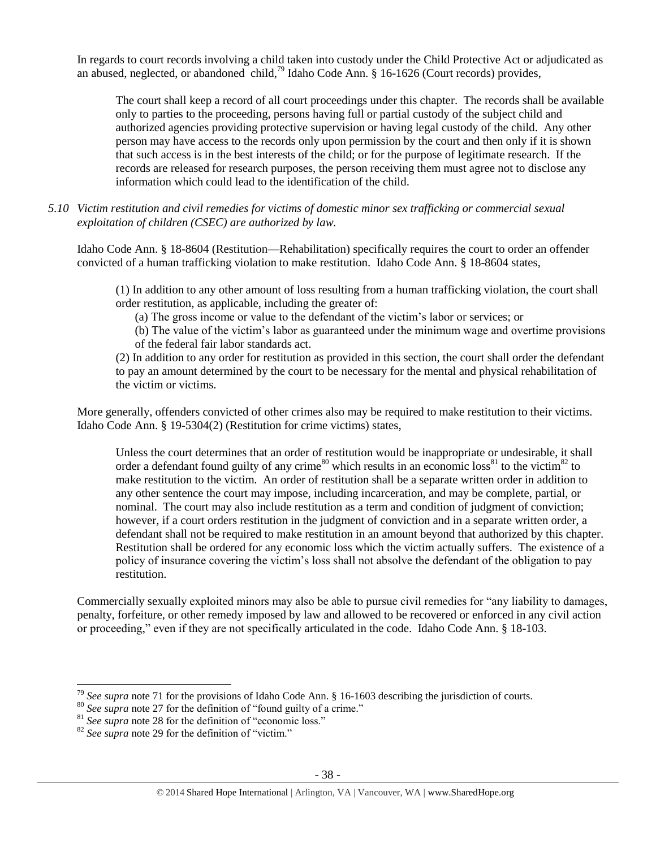In regards to court records involving a child taken into custody under the Child Protective Act or adjudicated as an abused, neglected, or abandoned child,  $^{79}$  Idaho Code Ann. § 16-1626 (Court records) provides,

The court shall keep a record of all court proceedings under this chapter. The records shall be available only to parties to the proceeding, persons having full or partial custody of the subject child and authorized agencies providing protective supervision or having legal custody of the child. Any other person may have access to the records only upon permission by the court and then only if it is shown that such access is in the best interests of the child; or for the purpose of legitimate research. If the records are released for research purposes, the person receiving them must agree not to disclose any information which could lead to the identification of the child.

*5.10 Victim restitution and civil remedies for victims of domestic minor sex trafficking or commercial sexual exploitation of children (CSEC) are authorized by law.* 

Idaho Code Ann. § 18-8604 (Restitution—Rehabilitation) specifically requires the court to order an offender convicted of a human trafficking violation to make restitution. Idaho Code Ann. § 18-8604 states,

(1) In addition to any other amount of loss resulting from a human trafficking violation, the court shall order restitution, as applicable, including the greater of:

(a) The gross income or value to the defendant of the victim's labor or services; or

(b) The value of the victim's labor as guaranteed under the minimum wage and overtime provisions of the federal fair labor standards act.

(2) In addition to any order for restitution as provided in this section, the court shall order the defendant to pay an amount determined by the court to be necessary for the mental and physical rehabilitation of the victim or victims.

More generally, offenders convicted of other crimes also may be required to make restitution to their victims. Idaho Code Ann. § 19-5304(2) (Restitution for crime victims) states,

Unless the court determines that an order of restitution would be inappropriate or undesirable, it shall order a defendant found guilty of any crime<sup>80</sup> which results in an economic loss<sup>81</sup> to the victim<sup>82</sup> to make restitution to the victim. An order of restitution shall be a separate written order in addition to any other sentence the court may impose, including incarceration, and may be complete, partial, or nominal. The court may also include restitution as a term and condition of judgment of conviction; however, if a court orders restitution in the judgment of conviction and in a separate written order, a defendant shall not be required to make restitution in an amount beyond that authorized by this chapter. Restitution shall be ordered for any economic loss which the victim actually suffers. The existence of a policy of insurance covering the victim's loss shall not absolve the defendant of the obligation to pay restitution.

Commercially sexually exploited minors may also be able to pursue civil remedies for "any liability to damages, penalty, forfeiture, or other remedy imposed by law and allowed to be recovered or enforced in any civil action or proceeding," even if they are not specifically articulated in the code. Idaho Code Ann. § 18-103.

 $\overline{a}$ 

<sup>79</sup> *See supra* note [71](#page-28-0) for the provisions of Idaho Code Ann. § 16-1603 describing the jurisdiction of courts.

<sup>&</sup>lt;sup>80</sup> *See supra* note [27](#page-11-1) for the definition of "found guilty of a crime."

<sup>&</sup>lt;sup>81</sup> See supra note [28](#page-11-0) for the definition of "economic loss."

<sup>&</sup>lt;sup>82</sup> See supra note [29](#page-11-2) for the definition of "victim."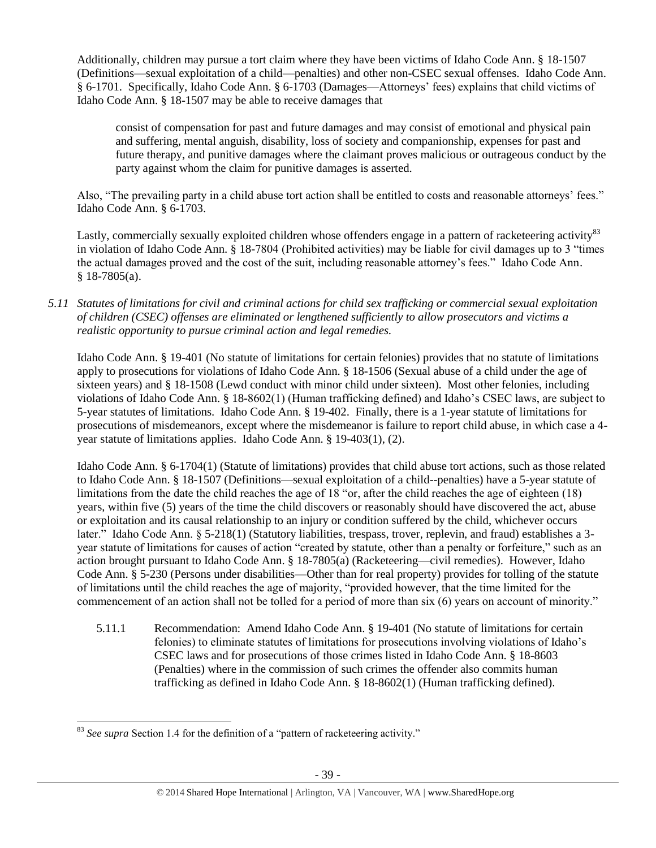Additionally, children may pursue a tort claim where they have been victims of Idaho Code Ann. § 18-1507 (Definitions—sexual exploitation of a child—penalties) and other non-CSEC sexual offenses. Idaho Code Ann. § 6-1701. Specifically, Idaho Code Ann. § 6-1703 (Damages—Attorneys' fees) explains that child victims of Idaho Code Ann. § 18-1507 may be able to receive damages that

consist of compensation for past and future damages and may consist of emotional and physical pain and suffering, mental anguish, disability, loss of society and companionship, expenses for past and future therapy, and punitive damages where the claimant proves malicious or outrageous conduct by the party against whom the claim for punitive damages is asserted.

Also, "The prevailing party in a child abuse tort action shall be entitled to costs and reasonable attorneys' fees." Idaho Code Ann. § 6-1703.

Lastly, commercially sexually exploited children whose offenders engage in a pattern of racketeering activity<sup>83</sup> in violation of Idaho Code Ann. § 18-7804 (Prohibited activities) may be liable for civil damages up to 3 "times the actual damages proved and the cost of the suit, including reasonable attorney's fees." Idaho Code Ann.  $§$  18-7805(a).

*5.11 Statutes of limitations for civil and criminal actions for child sex trafficking or commercial sexual exploitation of children (CSEC) offenses are eliminated or lengthened sufficiently to allow prosecutors and victims a realistic opportunity to pursue criminal action and legal remedies.*

Idaho Code Ann. § 19-401 (No statute of limitations for certain felonies) provides that no statute of limitations apply to prosecutions for violations of Idaho Code Ann. § 18-1506 (Sexual abuse of a child under the age of sixteen years) and § 18-1508 (Lewd conduct with minor child under sixteen). Most other felonies, including violations of Idaho Code Ann. § 18-8602(1) (Human trafficking defined) and Idaho's CSEC laws, are subject to 5-year statutes of limitations. Idaho Code Ann. § 19-402. Finally, there is a 1-year statute of limitations for prosecutions of misdemeanors, except where the misdemeanor is failure to report child abuse, in which case a 4 year statute of limitations applies. Idaho Code Ann. § 19-403(1), (2).

Idaho Code Ann. § 6-1704(1) (Statute of limitations) provides that child abuse tort actions, such as those related to Idaho Code Ann. § 18-1507 (Definitions—sexual exploitation of a child--penalties) have a 5-year statute of limitations from the date the child reaches the age of 18 "or, after the child reaches the age of eighteen (18) years, within five (5) years of the time the child discovers or reasonably should have discovered the act, abuse or exploitation and its causal relationship to an injury or condition suffered by the child, whichever occurs later." Idaho Code Ann. § 5-218(1) (Statutory liabilities, trespass, trover, replevin, and fraud) establishes a 3year statute of limitations for causes of action "created by statute, other than a penalty or forfeiture," such as an action brought pursuant to Idaho Code Ann. § 18-7805(a) (Racketeering—civil remedies). However, Idaho Code Ann. § 5-230 (Persons under disabilities—Other than for real property) provides for tolling of the statute of limitations until the child reaches the age of majority, "provided however, that the time limited for the commencement of an action shall not be tolled for a period of more than six (6) years on account of minority."

5.11.1 Recommendation: Amend Idaho Code Ann. § 19-401 (No statute of limitations for certain felonies) to eliminate statutes of limitations for prosecutions involving violations of Idaho's CSEC laws and for prosecutions of those crimes listed in Idaho Code Ann. § 18-8603 (Penalties) where in the commission of such crimes the offender also commits human trafficking as defined in Idaho Code Ann. § 18-8602(1) (Human trafficking defined).

 $\overline{\phantom{a}}$ <sup>83</sup> *See supra* Section 1.4 for the definition of a "pattern of racketeering activity."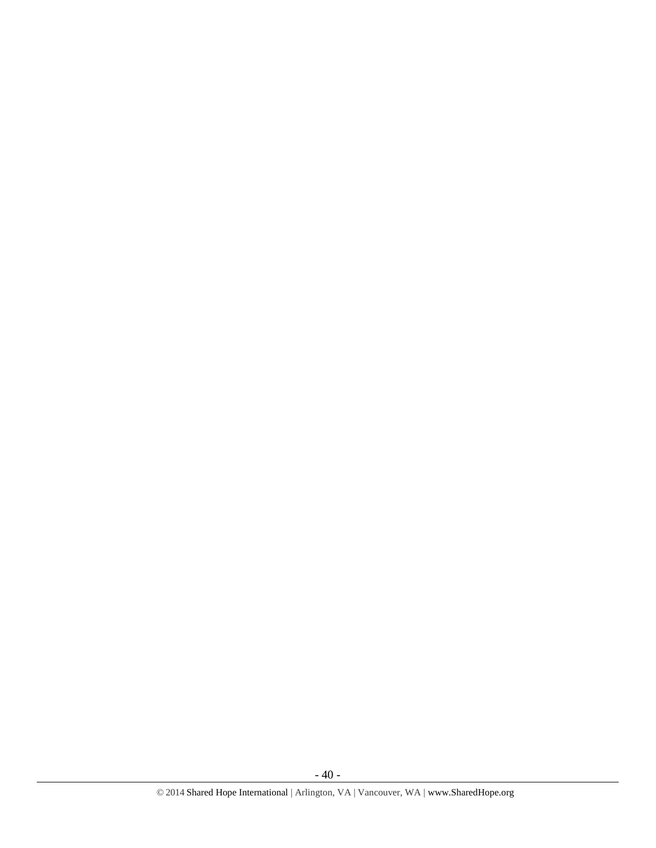$\copyright$  2014 Shared Hope International | Arlington, VA | Vancouver, WA | www.SharedHope.org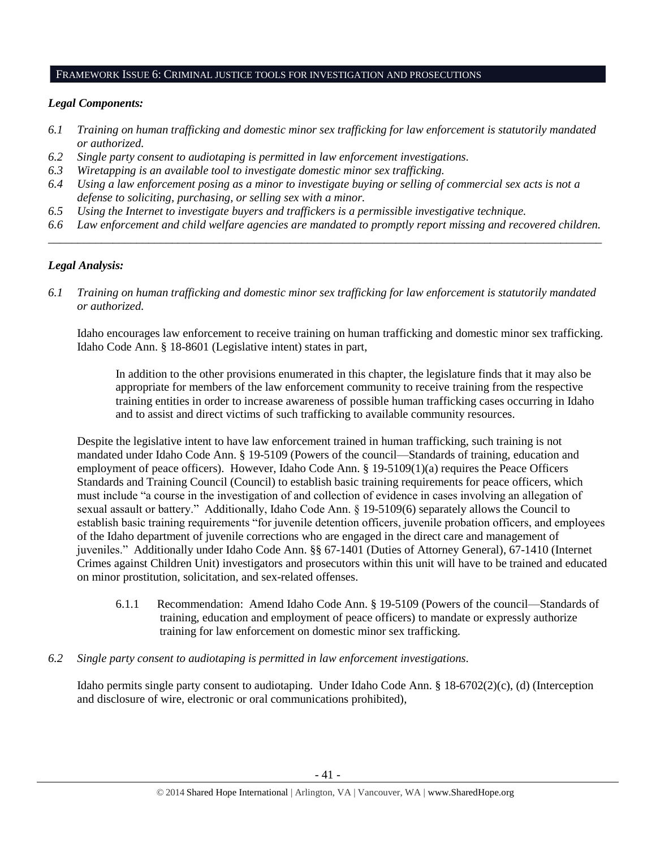#### FRAMEWORK ISSUE 6: CRIMINAL JUSTICE TOOLS FOR INVESTIGATION AND PROSECUTIONS

# *Legal Components:*

- *6.1 Training on human trafficking and domestic minor sex trafficking for law enforcement is statutorily mandated or authorized.*
- *6.2 Single party consent to audiotaping is permitted in law enforcement investigations.*
- *6.3 Wiretapping is an available tool to investigate domestic minor sex trafficking.*
- *6.4 Using a law enforcement posing as a minor to investigate buying or selling of commercial sex acts is not a defense to soliciting, purchasing, or selling sex with a minor.*
- *6.5 Using the Internet to investigate buyers and traffickers is a permissible investigative technique.*
- *6.6 Law enforcement and child welfare agencies are mandated to promptly report missing and recovered children. \_\_\_\_\_\_\_\_\_\_\_\_\_\_\_\_\_\_\_\_\_\_\_\_\_\_\_\_\_\_\_\_\_\_\_\_\_\_\_\_\_\_\_\_\_\_\_\_\_\_\_\_\_\_\_\_\_\_\_\_\_\_\_\_\_\_\_\_\_\_\_\_\_\_\_\_\_\_\_\_\_\_\_\_\_\_\_\_\_\_\_\_\_\_*

# *Legal Analysis:*

*6.1 Training on human trafficking and domestic minor sex trafficking for law enforcement is statutorily mandated or authorized.*

Idaho encourages law enforcement to receive training on human trafficking and domestic minor sex trafficking. Idaho Code Ann. § 18-8601 (Legislative intent) states in part,

In addition to the other provisions enumerated in this chapter, the legislature finds that it may also be appropriate for members of the law enforcement community to receive training from the respective training entities in order to increase awareness of possible human trafficking cases occurring in Idaho and to assist and direct victims of such trafficking to available community resources.

Despite the legislative intent to have law enforcement trained in human trafficking, such training is not mandated under Idaho Code Ann. § 19-5109 (Powers of the council—Standards of training, education and employment of peace officers). However, Idaho Code Ann. § 19-5109(1)(a) requires the Peace Officers Standards and Training Council (Council) to establish basic training requirements for peace officers, which must include "a course in the investigation of and collection of evidence in cases involving an allegation of sexual assault or battery." Additionally, Idaho Code Ann. § 19-5109(6) separately allows the Council to establish basic training requirements "for juvenile detention officers, juvenile probation officers, and employees of the Idaho department of juvenile corrections who are engaged in the direct care and management of juveniles." Additionally under Idaho Code Ann. §§ 67-1401 (Duties of Attorney General), 67-1410 (Internet Crimes against Children Unit) investigators and prosecutors within this unit will have to be trained and educated on minor prostitution, solicitation, and sex-related offenses.

- 6.1.1 Recommendation: Amend Idaho Code Ann. § 19-5109 (Powers of the council—Standards of training, education and employment of peace officers) to mandate or expressly authorize training for law enforcement on domestic minor sex trafficking.
- *6.2 Single party consent to audiotaping is permitted in law enforcement investigations.*

Idaho permits single party consent to audiotaping. Under Idaho Code Ann. § 18-6702(2)(c), (d) (Interception and disclosure of wire, electronic or oral communications prohibited),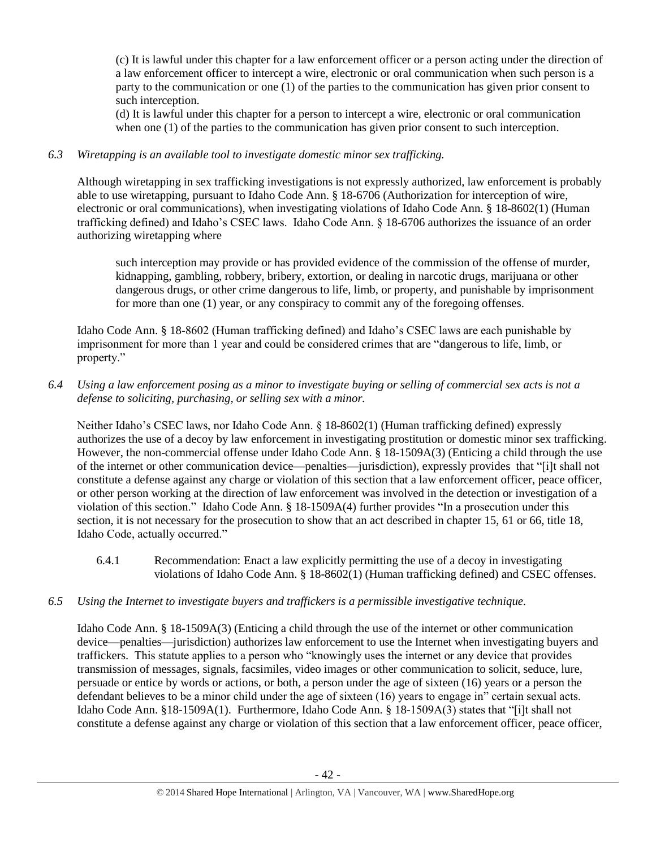(c) It is lawful under this chapter for a law enforcement officer or a person acting under the direction of a law enforcement officer to intercept a wire, electronic or oral communication when such person is a party to the communication or one (1) of the parties to the communication has given prior consent to such interception.

(d) It is lawful under this chapter for a person to intercept a wire, electronic or oral communication when one (1) of the parties to the communication has given prior consent to such interception.

# *6.3 Wiretapping is an available tool to investigate domestic minor sex trafficking.*

Although wiretapping in sex trafficking investigations is not expressly authorized, law enforcement is probably able to use wiretapping, pursuant to Idaho Code Ann. § 18-6706 (Authorization for interception of wire, electronic or oral communications), when investigating violations of Idaho Code Ann. § 18-8602(1) (Human trafficking defined) and Idaho's CSEC laws. Idaho Code Ann. § 18-6706 authorizes the issuance of an order authorizing wiretapping where

such interception may provide or has provided evidence of the commission of the offense of murder, kidnapping, gambling, robbery, bribery, extortion, or dealing in narcotic drugs, marijuana or other dangerous drugs, or other crime dangerous to life, limb, or property, and punishable by imprisonment for more than one (1) year, or any conspiracy to commit any of the foregoing offenses.

Idaho Code Ann. § 18-8602 (Human trafficking defined) and Idaho's CSEC laws are each punishable by imprisonment for more than 1 year and could be considered crimes that are "dangerous to life, limb, or property."

# *6.4 Using a law enforcement posing as a minor to investigate buying or selling of commercial sex acts is not a defense to soliciting, purchasing, or selling sex with a minor.*

Neither Idaho's CSEC laws, nor Idaho Code Ann. § 18-8602(1) (Human trafficking defined) expressly authorizes the use of a decoy by law enforcement in investigating prostitution or domestic minor sex trafficking. However, the non-commercial offense under Idaho Code Ann. § 18-1509A(3) (Enticing a child through the use of the internet or other communication device—penalties—jurisdiction), expressly provides that "[i]t shall not constitute a defense against any charge or violation of this section that a law enforcement officer, peace officer, or other person working at the direction of law enforcement was involved in the detection or investigation of a violation of this section." Idaho Code Ann. § 18-1509A(4) further provides "In a prosecution under this section, it is not necessary for the prosecution to show that an act described in chapter 15, 61 or 66, title 18, Idaho Code, actually occurred."

- 6.4.1 Recommendation: Enact a law explicitly permitting the use of a decoy in investigating violations of Idaho Code Ann. § 18-8602(1) (Human trafficking defined) and CSEC offenses.
- *6.5 Using the Internet to investigate buyers and traffickers is a permissible investigative technique.*

Idaho Code Ann. § 18-1509A(3) (Enticing a child through the use of the internet or other communication device—penalties—jurisdiction) authorizes law enforcement to use the Internet when investigating buyers and traffickers. This statute applies to a person who "knowingly uses the internet or any device that provides transmission of messages, signals, facsimiles, video images or other communication to solicit, seduce, lure, persuade or entice by words or actions, or both, a person under the age of sixteen (16) years or a person the defendant believes to be a minor child under the age of sixteen (16) years to engage in" certain sexual acts. Idaho Code Ann. §18-1509A(1). Furthermore, Idaho Code Ann. § 18-1509A(3) states that "[i]t shall not constitute a defense against any charge or violation of this section that a law enforcement officer, peace officer,